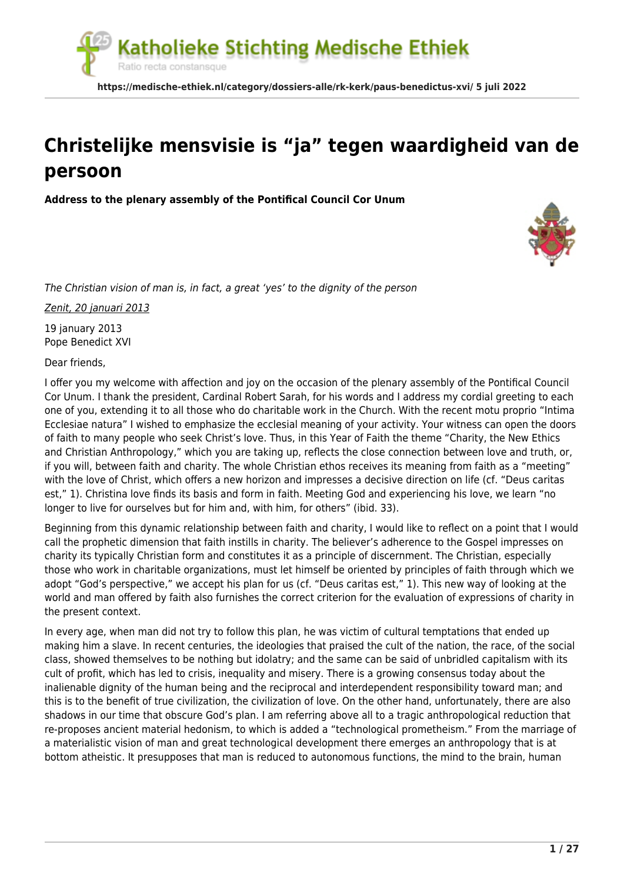

# **[Christelijke mensvisie is "ja" tegen waardigheid van de](https://medische-ethiek.nl/christelijke-mensvisie-is-ja-tegen-waardigheid-van-de-persoon/) [persoon](https://medische-ethiek.nl/christelijke-mensvisie-is-ja-tegen-waardigheid-van-de-persoon/)**

**Address to the plenary assembly of the Pontifical Council Cor Unum**



The Christian vision of man is, in fact, a great 'yes' to the dignity of the person

[Zenit, 20 januari 2013](https://zenit.org/)

19 january 2013 Pope Benedict XVI

Dear friends,

I offer you my welcome with affection and joy on the occasion of the plenary assembly of the Pontifical Council Cor Unum. I thank the president, Cardinal Robert Sarah, for his words and I address my cordial greeting to each one of you, extending it to all those who do charitable work in the Church. With the recent motu proprio "Intima Ecclesiae natura" I wished to emphasize the ecclesial meaning of your activity. Your witness can open the doors of faith to many people who seek Christ's love. Thus, in this Year of Faith the theme "Charity, the New Ethics and Christian Anthropology," which you are taking up, reflects the close connection between love and truth, or, if you will, between faith and charity. The whole Christian ethos receives its meaning from faith as a "meeting" with the love of Christ, which offers a new horizon and impresses a decisive direction on life (cf. "Deus caritas est," 1). Christina love finds its basis and form in faith. Meeting God and experiencing his love, we learn "no longer to live for ourselves but for him and, with him, for others" (ibid. 33).

Beginning from this dynamic relationship between faith and charity, I would like to reflect on a point that I would call the prophetic dimension that faith instills in charity. The believer's adherence to the Gospel impresses on charity its typically Christian form and constitutes it as a principle of discernment. The Christian, especially those who work in charitable organizations, must let himself be oriented by principles of faith through which we adopt "God's perspective," we accept his plan for us (cf. "Deus caritas est," 1). This new way of looking at the world and man offered by faith also furnishes the correct criterion for the evaluation of expressions of charity in the present context.

In every age, when man did not try to follow this plan, he was victim of cultural temptations that ended up making him a slave. In recent centuries, the ideologies that praised the cult of the nation, the race, of the social class, showed themselves to be nothing but idolatry; and the same can be said of unbridled capitalism with its cult of profit, which has led to crisis, inequality and misery. There is a growing consensus today about the inalienable dignity of the human being and the reciprocal and interdependent responsibility toward man; and this is to the benefit of true civilization, the civilization of love. On the other hand, unfortunately, there are also shadows in our time that obscure God's plan. I am referring above all to a tragic anthropological reduction that re-proposes ancient material hedonism, to which is added a "technological prometheism." From the marriage of a materialistic vision of man and great technological development there emerges an anthropology that is at bottom atheistic. It presupposes that man is reduced to autonomous functions, the mind to the brain, human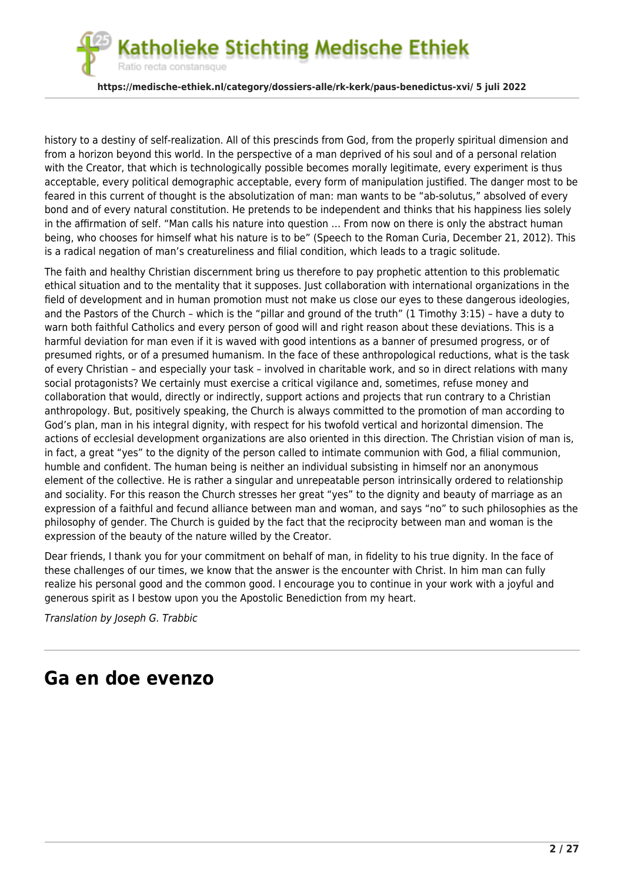#### **https://medische-ethiek.nl/category/dossiers-alle/rk-kerk/paus-benedictus-xvi/ 5 juli 2022**

Ratio recta constansque

history to a destiny of self-realization. All of this prescinds from God, from the properly spiritual dimension and from a horizon beyond this world. In the perspective of a man deprived of his soul and of a personal relation with the Creator, that which is technologically possible becomes morally legitimate, every experiment is thus acceptable, every political demographic acceptable, every form of manipulation justified. The danger most to be feared in this current of thought is the absolutization of man: man wants to be "ab-solutus," absolved of every bond and of every natural constitution. He pretends to be independent and thinks that his happiness lies solely in the affirmation of self. "Man calls his nature into question … From now on there is only the abstract human being, who chooses for himself what his nature is to be" (Speech to the Roman Curia, December 21, 2012). This is a radical negation of man's creatureliness and filial condition, which leads to a tragic solitude.

The faith and healthy Christian discernment bring us therefore to pay prophetic attention to this problematic ethical situation and to the mentality that it supposes. Just collaboration with international organizations in the field of development and in human promotion must not make us close our eyes to these dangerous ideologies, and the Pastors of the Church – which is the "pillar and ground of the truth" (1 Timothy 3:15) – have a duty to warn both faithful Catholics and every person of good will and right reason about these deviations. This is a harmful deviation for man even if it is waved with good intentions as a banner of presumed progress, or of presumed rights, or of a presumed humanism. In the face of these anthropological reductions, what is the task of every Christian – and especially your task – involved in charitable work, and so in direct relations with many social protagonists? We certainly must exercise a critical vigilance and, sometimes, refuse money and collaboration that would, directly or indirectly, support actions and projects that run contrary to a Christian anthropology. But, positively speaking, the Church is always committed to the promotion of man according to God's plan, man in his integral dignity, with respect for his twofold vertical and horizontal dimension. The actions of ecclesial development organizations are also oriented in this direction. The Christian vision of man is, in fact, a great "yes" to the dignity of the person called to intimate communion with God, a filial communion, humble and confident. The human being is neither an individual subsisting in himself nor an anonymous element of the collective. He is rather a singular and unrepeatable person intrinsically ordered to relationship and sociality. For this reason the Church stresses her great "yes" to the dignity and beauty of marriage as an expression of a faithful and fecund alliance between man and woman, and says "no" to such philosophies as the philosophy of gender. The Church is guided by the fact that the reciprocity between man and woman is the expression of the beauty of the nature willed by the Creator.

Dear friends, I thank you for your commitment on behalf of man, in fidelity to his true dignity. In the face of these challenges of our times, we know that the answer is the encounter with Christ. In him man can fully realize his personal good and the common good. I encourage you to continue in your work with a joyful and generous spirit as I bestow upon you the Apostolic Benediction from my heart.

Translation by Joseph G. Trabbic

### **[Ga en doe evenzo](https://medische-ethiek.nl/ga-en-doe-evenzo/)**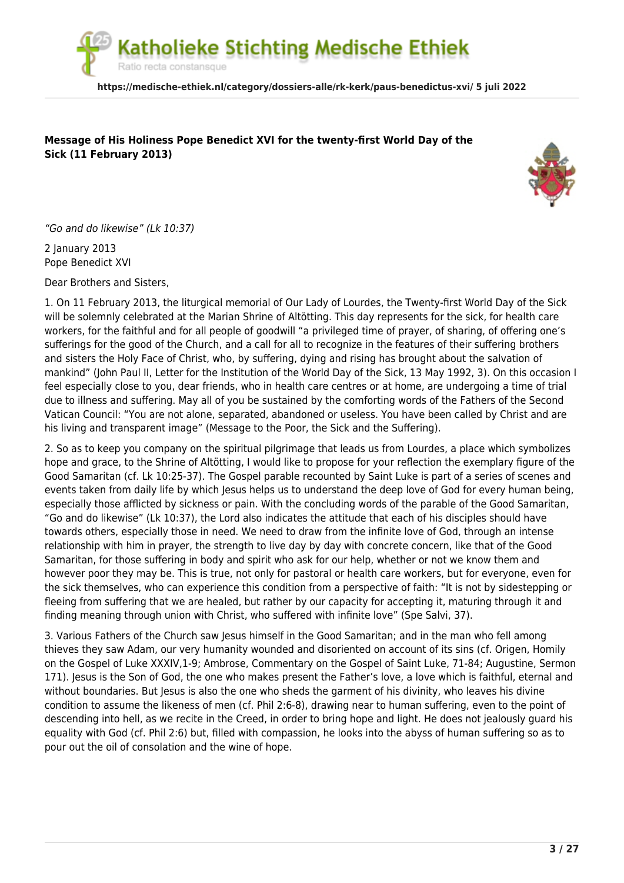tholieke Stichting Medische Ethiek Ratio recta constansque

**https://medische-ethiek.nl/category/dossiers-alle/rk-kerk/paus-benedictus-xvi/ 5 juli 2022**

### **Message of His Holiness Pope Benedict XVI for the twenty-first World Day of the Sick (11 February 2013)**



"Go and do likewise" (Lk 10:37)

2 January 2013 Pope Benedict XVI

Dear Brothers and Sisters,

1. On 11 February 2013, the liturgical memorial of Our Lady of Lourdes, the Twenty-first World Day of the Sick will be solemnly celebrated at the Marian Shrine of Altötting. This day represents for the sick, for health care workers, for the faithful and for all people of goodwill "a privileged time of prayer, of sharing, of offering one's sufferings for the good of the Church, and a call for all to recognize in the features of their suffering brothers and sisters the Holy Face of Christ, who, by suffering, dying and rising has brought about the salvation of mankind" (John Paul II, Letter for the Institution of the World Day of the Sick, 13 May 1992, 3). On this occasion I feel especially close to you, dear friends, who in health care centres or at home, are undergoing a time of trial due to illness and suffering. May all of you be sustained by the comforting words of the Fathers of the Second Vatican Council: "You are not alone, separated, abandoned or useless. You have been called by Christ and are his living and transparent image" (Message to the Poor, the Sick and the Suffering).

2. So as to keep you company on the spiritual pilgrimage that leads us from Lourdes, a place which symbolizes hope and grace, to the Shrine of Altötting, I would like to propose for your reflection the exemplary figure of the Good Samaritan (cf. Lk 10:25-37). The Gospel parable recounted by Saint Luke is part of a series of scenes and events taken from daily life by which Jesus helps us to understand the deep love of God for every human being, especially those afflicted by sickness or pain. With the concluding words of the parable of the Good Samaritan, "Go and do likewise" (Lk 10:37), the Lord also indicates the attitude that each of his disciples should have towards others, especially those in need. We need to draw from the infinite love of God, through an intense relationship with him in prayer, the strength to live day by day with concrete concern, like that of the Good Samaritan, for those suffering in body and spirit who ask for our help, whether or not we know them and however poor they may be. This is true, not only for pastoral or health care workers, but for everyone, even for the sick themselves, who can experience this condition from a perspective of faith: "It is not by sidestepping or fleeing from suffering that we are healed, but rather by our capacity for accepting it, maturing through it and finding meaning through union with Christ, who suffered with infinite love" (Spe Salvi, 37).

3. Various Fathers of the Church saw Jesus himself in the Good Samaritan; and in the man who fell among thieves they saw Adam, our very humanity wounded and disoriented on account of its sins (cf. Origen, Homily on the Gospel of Luke XXXIV,1-9; Ambrose, Commentary on the Gospel of Saint Luke, 71-84; Augustine, Sermon 171). Jesus is the Son of God, the one who makes present the Father's love, a love which is faithful, eternal and without boundaries. But Jesus is also the one who sheds the garment of his divinity, who leaves his divine condition to assume the likeness of men (cf. Phil 2:6-8), drawing near to human suffering, even to the point of descending into hell, as we recite in the Creed, in order to bring hope and light. He does not jealously guard his equality with God (cf. Phil 2:6) but, filled with compassion, he looks into the abyss of human suffering so as to pour out the oil of consolation and the wine of hope.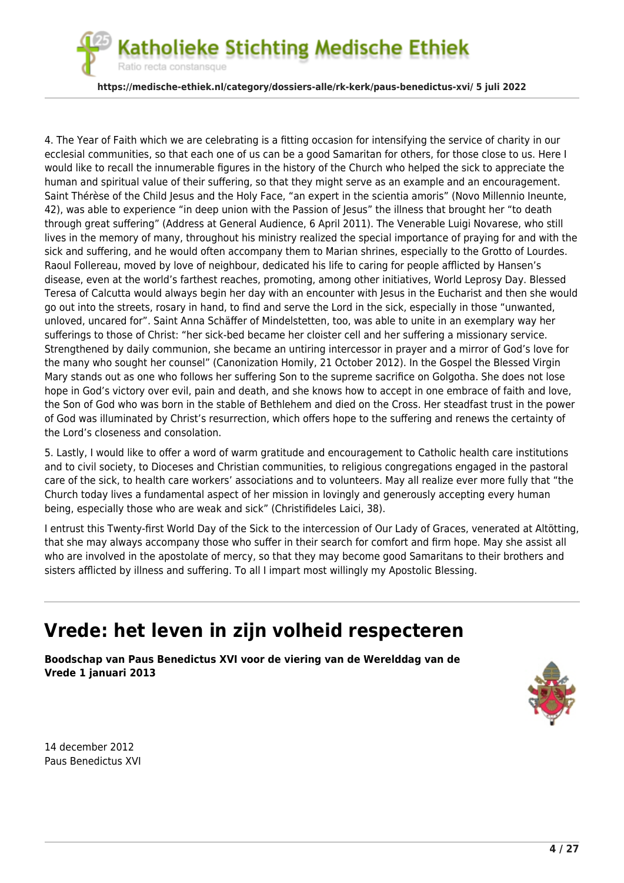Ratio recta constansque

**https://medische-ethiek.nl/category/dossiers-alle/rk-kerk/paus-benedictus-xvi/ 5 juli 2022**

4. The Year of Faith which we are celebrating is a fitting occasion for intensifying the service of charity in our ecclesial communities, so that each one of us can be a good Samaritan for others, for those close to us. Here I would like to recall the innumerable figures in the history of the Church who helped the sick to appreciate the human and spiritual value of their suffering, so that they might serve as an example and an encouragement. Saint Thérèse of the Child Jesus and the Holy Face, "an expert in the scientia amoris" (Novo Millennio Ineunte, 42), was able to experience "in deep union with the Passion of Jesus" the illness that brought her "to death through great suffering" (Address at General Audience, 6 April 2011). The Venerable Luigi Novarese, who still lives in the memory of many, throughout his ministry realized the special importance of praying for and with the sick and suffering, and he would often accompany them to Marian shrines, especially to the Grotto of Lourdes. Raoul Follereau, moved by love of neighbour, dedicated his life to caring for people afflicted by Hansen's disease, even at the world's farthest reaches, promoting, among other initiatives, World Leprosy Day. Blessed Teresa of Calcutta would always begin her day with an encounter with Jesus in the Eucharist and then she would go out into the streets, rosary in hand, to find and serve the Lord in the sick, especially in those "unwanted, unloved, uncared for". Saint Anna Schäffer of Mindelstetten, too, was able to unite in an exemplary way her sufferings to those of Christ: "her sick-bed became her cloister cell and her suffering a missionary service. Strengthened by daily communion, she became an untiring intercessor in prayer and a mirror of God's love for the many who sought her counsel" (Canonization Homily, 21 October 2012). In the Gospel the Blessed Virgin Mary stands out as one who follows her suffering Son to the supreme sacrifice on Golgotha. She does not lose hope in God's victory over evil, pain and death, and she knows how to accept in one embrace of faith and love, the Son of God who was born in the stable of Bethlehem and died on the Cross. Her steadfast trust in the power of God was illuminated by Christ's resurrection, which offers hope to the suffering and renews the certainty of the Lord's closeness and consolation.

5. Lastly, I would like to offer a word of warm gratitude and encouragement to Catholic health care institutions and to civil society, to Dioceses and Christian communities, to religious congregations engaged in the pastoral care of the sick, to health care workers' associations and to volunteers. May all realize ever more fully that "the Church today lives a fundamental aspect of her mission in lovingly and generously accepting every human being, especially those who are weak and sick" (Christifideles Laici, 38).

I entrust this Twenty-first World Day of the Sick to the intercession of Our Lady of Graces, venerated at Altötting, that she may always accompany those who suffer in their search for comfort and firm hope. May she assist all who are involved in the apostolate of mercy, so that they may become good Samaritans to their brothers and sisters afflicted by illness and suffering. To all I impart most willingly my Apostolic Blessing.

## **[Vrede: het leven in zijn volheid respecteren](https://medische-ethiek.nl/vrede-het-leven-in-zijn-volheid-respecteren/)**

**Boodschap van Paus Benedictus XVI voor de viering van de Werelddag van de Vrede 1 januari 2013**



14 december 2012 Paus Benedictus XVI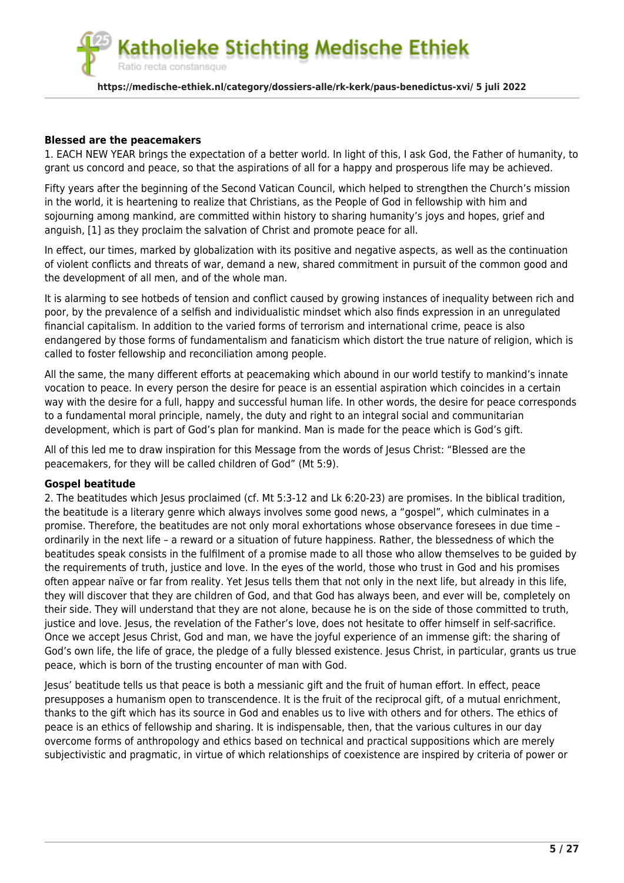

### **Blessed are the peacemakers**

1. EACH NEW YEAR brings the expectation of a better world. In light of this, I ask God, the Father of humanity, to grant us concord and peace, so that the aspirations of all for a happy and prosperous life may be achieved.

Fifty years after the beginning of the Second Vatican Council, which helped to strengthen the Church's mission in the world, it is heartening to realize that Christians, as the People of God in fellowship with him and sojourning among mankind, are committed within history to sharing humanity's joys and hopes, grief and anguish, [1] as they proclaim the salvation of Christ and promote peace for all.

In effect, our times, marked by globalization with its positive and negative aspects, as well as the continuation of violent conflicts and threats of war, demand a new, shared commitment in pursuit of the common good and the development of all men, and of the whole man.

It is alarming to see hotbeds of tension and conflict caused by growing instances of inequality between rich and poor, by the prevalence of a selfish and individualistic mindset which also finds expression in an unregulated financial capitalism. In addition to the varied forms of terrorism and international crime, peace is also endangered by those forms of fundamentalism and fanaticism which distort the true nature of religion, which is called to foster fellowship and reconciliation among people.

All the same, the many different efforts at peacemaking which abound in our world testify to mankind's innate vocation to peace. In every person the desire for peace is an essential aspiration which coincides in a certain way with the desire for a full, happy and successful human life. In other words, the desire for peace corresponds to a fundamental moral principle, namely, the duty and right to an integral social and communitarian development, which is part of God's plan for mankind. Man is made for the peace which is God's gift.

All of this led me to draw inspiration for this Message from the words of Jesus Christ: "Blessed are the peacemakers, for they will be called children of God" (Mt 5:9).

#### **Gospel beatitude**

2. The beatitudes which Jesus proclaimed (cf. Mt 5:3-12 and Lk 6:20-23) are promises. In the biblical tradition, the beatitude is a literary genre which always involves some good news, a "gospel", which culminates in a promise. Therefore, the beatitudes are not only moral exhortations whose observance foresees in due time – ordinarily in the next life – a reward or a situation of future happiness. Rather, the blessedness of which the beatitudes speak consists in the fulfilment of a promise made to all those who allow themselves to be guided by the requirements of truth, justice and love. In the eyes of the world, those who trust in God and his promises often appear naïve or far from reality. Yet lesus tells them that not only in the next life, but already in this life, they will discover that they are children of God, and that God has always been, and ever will be, completely on their side. They will understand that they are not alone, because he is on the side of those committed to truth, justice and love. Jesus, the revelation of the Father's love, does not hesitate to offer himself in self-sacrifice. Once we accept Jesus Christ, God and man, we have the joyful experience of an immense gift: the sharing of God's own life, the life of grace, the pledge of a fully blessed existence. Jesus Christ, in particular, grants us true peace, which is born of the trusting encounter of man with God.

Jesus' beatitude tells us that peace is both a messianic gift and the fruit of human effort. In effect, peace presupposes a humanism open to transcendence. It is the fruit of the reciprocal gift, of a mutual enrichment, thanks to the gift which has its source in God and enables us to live with others and for others. The ethics of peace is an ethics of fellowship and sharing. It is indispensable, then, that the various cultures in our day overcome forms of anthropology and ethics based on technical and practical suppositions which are merely subjectivistic and pragmatic, in virtue of which relationships of coexistence are inspired by criteria of power or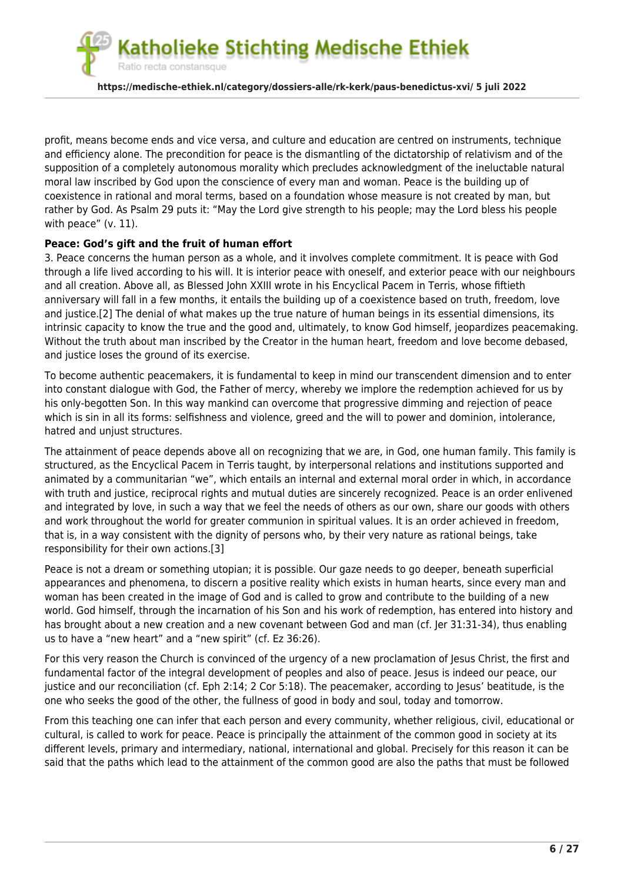**https://medische-ethiek.nl/category/dossiers-alle/rk-kerk/paus-benedictus-xvi/ 5 juli 2022**

profit, means become ends and vice versa, and culture and education are centred on instruments, technique and efficiency alone. The precondition for peace is the dismantling of the dictatorship of relativism and of the supposition of a completely autonomous morality which precludes acknowledgment of the ineluctable natural moral law inscribed by God upon the conscience of every man and woman. Peace is the building up of coexistence in rational and moral terms, based on a foundation whose measure is not created by man, but rather by God. As Psalm 29 puts it: "May the Lord give strength to his people; may the Lord bless his people with peace" (v. 11).

#### **Peace: God's gift and the fruit of human effort**

Ratio recta constansque

3. Peace concerns the human person as a whole, and it involves complete commitment. It is peace with God through a life lived according to his will. It is interior peace with oneself, and exterior peace with our neighbours and all creation. Above all, as Blessed John XXIII wrote in his Encyclical Pacem in Terris, whose fiftieth anniversary will fall in a few months, it entails the building up of a coexistence based on truth, freedom, love and justice.[2] The denial of what makes up the true nature of human beings in its essential dimensions, its intrinsic capacity to know the true and the good and, ultimately, to know God himself, jeopardizes peacemaking. Without the truth about man inscribed by the Creator in the human heart, freedom and love become debased, and justice loses the ground of its exercise.

To become authentic peacemakers, it is fundamental to keep in mind our transcendent dimension and to enter into constant dialogue with God, the Father of mercy, whereby we implore the redemption achieved for us by his only-begotten Son. In this way mankind can overcome that progressive dimming and rejection of peace which is sin in all its forms: selfishness and violence, greed and the will to power and dominion, intolerance, hatred and unjust structures.

The attainment of peace depends above all on recognizing that we are, in God, one human family. This family is structured, as the Encyclical Pacem in Terris taught, by interpersonal relations and institutions supported and animated by a communitarian "we", which entails an internal and external moral order in which, in accordance with truth and justice, reciprocal rights and mutual duties are sincerely recognized. Peace is an order enlivened and integrated by love, in such a way that we feel the needs of others as our own, share our goods with others and work throughout the world for greater communion in spiritual values. It is an order achieved in freedom, that is, in a way consistent with the dignity of persons who, by their very nature as rational beings, take responsibility for their own actions.[3]

Peace is not a dream or something utopian; it is possible. Our gaze needs to go deeper, beneath superficial appearances and phenomena, to discern a positive reality which exists in human hearts, since every man and woman has been created in the image of God and is called to grow and contribute to the building of a new world. God himself, through the incarnation of his Son and his work of redemption, has entered into history and has brought about a new creation and a new covenant between God and man (cf. Jer 31:31-34), thus enabling us to have a "new heart" and a "new spirit" (cf. Ez 36:26).

For this very reason the Church is convinced of the urgency of a new proclamation of Jesus Christ, the first and fundamental factor of the integral development of peoples and also of peace. Jesus is indeed our peace, our justice and our reconciliation (cf. Eph 2:14; 2 Cor 5:18). The peacemaker, according to Jesus' beatitude, is the one who seeks the good of the other, the fullness of good in body and soul, today and tomorrow.

From this teaching one can infer that each person and every community, whether religious, civil, educational or cultural, is called to work for peace. Peace is principally the attainment of the common good in society at its different levels, primary and intermediary, national, international and global. Precisely for this reason it can be said that the paths which lead to the attainment of the common good are also the paths that must be followed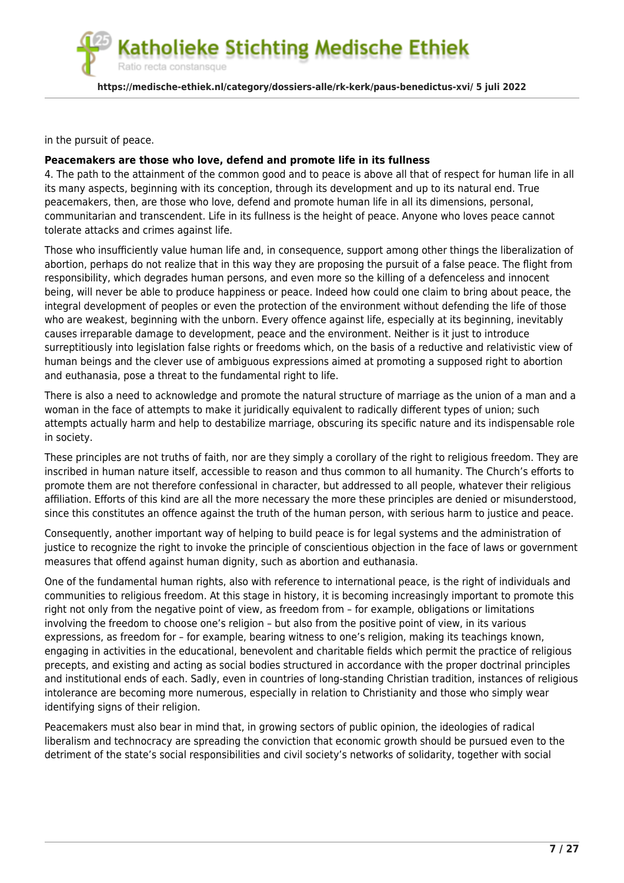atholieke Stichting Medische Ethiek Ratio recta constansque **https://medische-ethiek.nl/category/dossiers-alle/rk-kerk/paus-benedictus-xvi/ 5 juli 2022**

in the pursuit of peace.

#### **Peacemakers are those who love, defend and promote life in its fullness**

4. The path to the attainment of the common good and to peace is above all that of respect for human life in all its many aspects, beginning with its conception, through its development and up to its natural end. True peacemakers, then, are those who love, defend and promote human life in all its dimensions, personal, communitarian and transcendent. Life in its fullness is the height of peace. Anyone who loves peace cannot tolerate attacks and crimes against life.

Those who insufficiently value human life and, in consequence, support among other things the liberalization of abortion, perhaps do not realize that in this way they are proposing the pursuit of a false peace. The flight from responsibility, which degrades human persons, and even more so the killing of a defenceless and innocent being, will never be able to produce happiness or peace. Indeed how could one claim to bring about peace, the integral development of peoples or even the protection of the environment without defending the life of those who are weakest, beginning with the unborn. Every offence against life, especially at its beginning, inevitably causes irreparable damage to development, peace and the environment. Neither is it just to introduce surreptitiously into legislation false rights or freedoms which, on the basis of a reductive and relativistic view of human beings and the clever use of ambiguous expressions aimed at promoting a supposed right to abortion and euthanasia, pose a threat to the fundamental right to life.

There is also a need to acknowledge and promote the natural structure of marriage as the union of a man and a woman in the face of attempts to make it juridically equivalent to radically different types of union; such attempts actually harm and help to destabilize marriage, obscuring its specific nature and its indispensable role in society.

These principles are not truths of faith, nor are they simply a corollary of the right to religious freedom. They are inscribed in human nature itself, accessible to reason and thus common to all humanity. The Church's efforts to promote them are not therefore confessional in character, but addressed to all people, whatever their religious affiliation. Efforts of this kind are all the more necessary the more these principles are denied or misunderstood, since this constitutes an offence against the truth of the human person, with serious harm to justice and peace.

Consequently, another important way of helping to build peace is for legal systems and the administration of justice to recognize the right to invoke the principle of conscientious objection in the face of laws or government measures that offend against human dignity, such as abortion and euthanasia.

One of the fundamental human rights, also with reference to international peace, is the right of individuals and communities to religious freedom. At this stage in history, it is becoming increasingly important to promote this right not only from the negative point of view, as freedom from – for example, obligations or limitations involving the freedom to choose one's religion – but also from the positive point of view, in its various expressions, as freedom for – for example, bearing witness to one's religion, making its teachings known, engaging in activities in the educational, benevolent and charitable fields which permit the practice of religious precepts, and existing and acting as social bodies structured in accordance with the proper doctrinal principles and institutional ends of each. Sadly, even in countries of long-standing Christian tradition, instances of religious intolerance are becoming more numerous, especially in relation to Christianity and those who simply wear identifying signs of their religion.

Peacemakers must also bear in mind that, in growing sectors of public opinion, the ideologies of radical liberalism and technocracy are spreading the conviction that economic growth should be pursued even to the detriment of the state's social responsibilities and civil society's networks of solidarity, together with social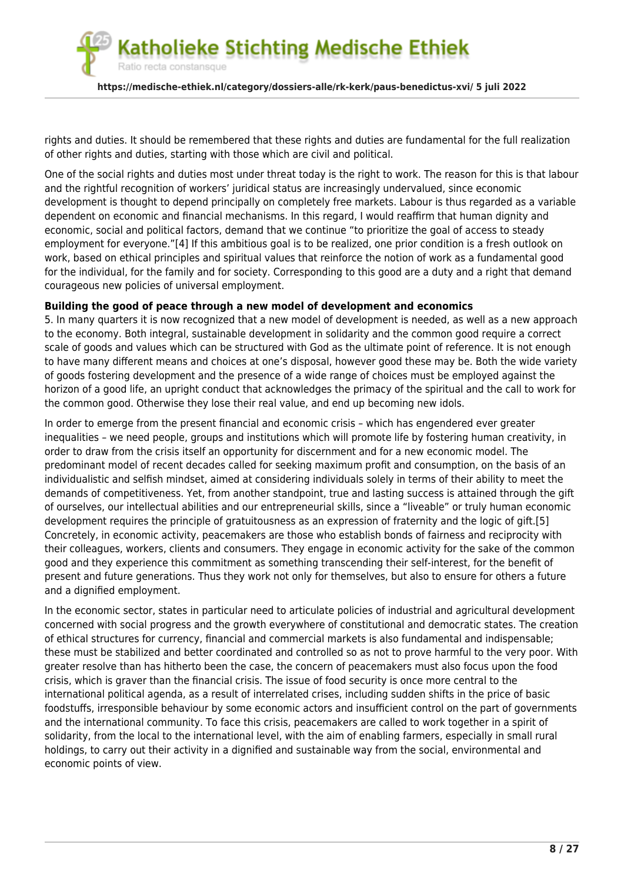atholieke Stichting Medische Ethiek Ratio recta constansque **https://medische-ethiek.nl/category/dossiers-alle/rk-kerk/paus-benedictus-xvi/ 5 juli 2022**

rights and duties. It should be remembered that these rights and duties are fundamental for the full realization of other rights and duties, starting with those which are civil and political.

One of the social rights and duties most under threat today is the right to work. The reason for this is that labour and the rightful recognition of workers' juridical status are increasingly undervalued, since economic development is thought to depend principally on completely free markets. Labour is thus regarded as a variable dependent on economic and financial mechanisms. In this regard, I would reaffirm that human dignity and economic, social and political factors, demand that we continue "to prioritize the goal of access to steady employment for everyone."[4] If this ambitious goal is to be realized, one prior condition is a fresh outlook on work, based on ethical principles and spiritual values that reinforce the notion of work as a fundamental good for the individual, for the family and for society. Corresponding to this good are a duty and a right that demand courageous new policies of universal employment.

### **Building the good of peace through a new model of development and economics**

5. In many quarters it is now recognized that a new model of development is needed, as well as a new approach to the economy. Both integral, sustainable development in solidarity and the common good require a correct scale of goods and values which can be structured with God as the ultimate point of reference. It is not enough to have many different means and choices at one's disposal, however good these may be. Both the wide variety of goods fostering development and the presence of a wide range of choices must be employed against the horizon of a good life, an upright conduct that acknowledges the primacy of the spiritual and the call to work for the common good. Otherwise they lose their real value, and end up becoming new idols.

In order to emerge from the present financial and economic crisis – which has engendered ever greater inequalities – we need people, groups and institutions which will promote life by fostering human creativity, in order to draw from the crisis itself an opportunity for discernment and for a new economic model. The predominant model of recent decades called for seeking maximum profit and consumption, on the basis of an individualistic and selfish mindset, aimed at considering individuals solely in terms of their ability to meet the demands of competitiveness. Yet, from another standpoint, true and lasting success is attained through the gift of ourselves, our intellectual abilities and our entrepreneurial skills, since a "liveable" or truly human economic development requires the principle of gratuitousness as an expression of fraternity and the logic of gift.[5] Concretely, in economic activity, peacemakers are those who establish bonds of fairness and reciprocity with their colleagues, workers, clients and consumers. They engage in economic activity for the sake of the common good and they experience this commitment as something transcending their self-interest, for the benefit of present and future generations. Thus they work not only for themselves, but also to ensure for others a future and a dignified employment.

In the economic sector, states in particular need to articulate policies of industrial and agricultural development concerned with social progress and the growth everywhere of constitutional and democratic states. The creation of ethical structures for currency, financial and commercial markets is also fundamental and indispensable; these must be stabilized and better coordinated and controlled so as not to prove harmful to the very poor. With greater resolve than has hitherto been the case, the concern of peacemakers must also focus upon the food crisis, which is graver than the financial crisis. The issue of food security is once more central to the international political agenda, as a result of interrelated crises, including sudden shifts in the price of basic foodstuffs, irresponsible behaviour by some economic actors and insufficient control on the part of governments and the international community. To face this crisis, peacemakers are called to work together in a spirit of solidarity, from the local to the international level, with the aim of enabling farmers, especially in small rural holdings, to carry out their activity in a dignified and sustainable way from the social, environmental and economic points of view.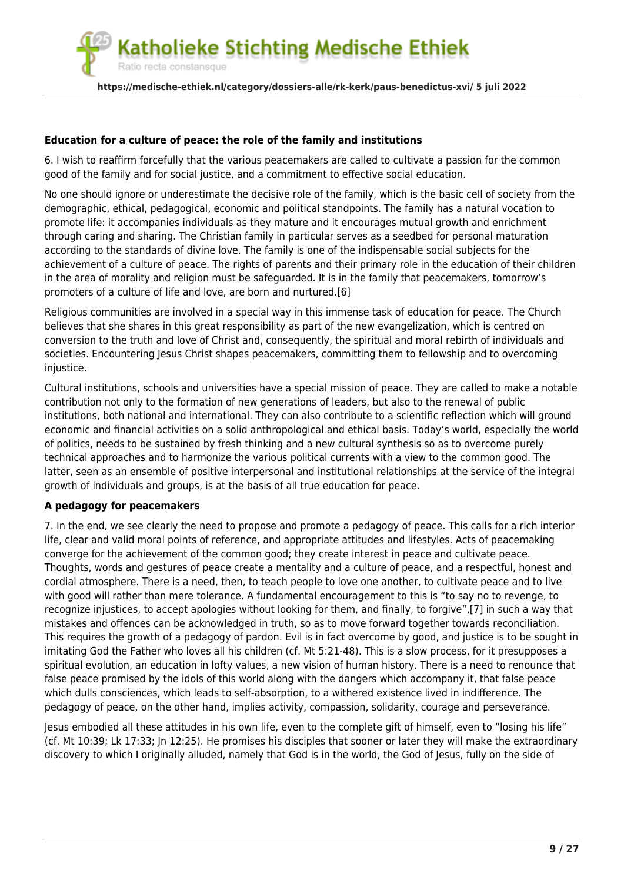

### **Education for a culture of peace: the role of the family and institutions**

6. I wish to reaffirm forcefully that the various peacemakers are called to cultivate a passion for the common good of the family and for social justice, and a commitment to effective social education.

No one should ignore or underestimate the decisive role of the family, which is the basic cell of society from the demographic, ethical, pedagogical, economic and political standpoints. The family has a natural vocation to promote life: it accompanies individuals as they mature and it encourages mutual growth and enrichment through caring and sharing. The Christian family in particular serves as a seedbed for personal maturation according to the standards of divine love. The family is one of the indispensable social subjects for the achievement of a culture of peace. The rights of parents and their primary role in the education of their children in the area of morality and religion must be safeguarded. It is in the family that peacemakers, tomorrow's promoters of a culture of life and love, are born and nurtured.[6]

Religious communities are involved in a special way in this immense task of education for peace. The Church believes that she shares in this great responsibility as part of the new evangelization, which is centred on conversion to the truth and love of Christ and, consequently, the spiritual and moral rebirth of individuals and societies. Encountering Jesus Christ shapes peacemakers, committing them to fellowship and to overcoming injustice.

Cultural institutions, schools and universities have a special mission of peace. They are called to make a notable contribution not only to the formation of new generations of leaders, but also to the renewal of public institutions, both national and international. They can also contribute to a scientific reflection which will ground economic and financial activities on a solid anthropological and ethical basis. Today's world, especially the world of politics, needs to be sustained by fresh thinking and a new cultural synthesis so as to overcome purely technical approaches and to harmonize the various political currents with a view to the common good. The latter, seen as an ensemble of positive interpersonal and institutional relationships at the service of the integral growth of individuals and groups, is at the basis of all true education for peace.

### **A pedagogy for peacemakers**

7. In the end, we see clearly the need to propose and promote a pedagogy of peace. This calls for a rich interior life, clear and valid moral points of reference, and appropriate attitudes and lifestyles. Acts of peacemaking converge for the achievement of the common good; they create interest in peace and cultivate peace. Thoughts, words and gestures of peace create a mentality and a culture of peace, and a respectful, honest and cordial atmosphere. There is a need, then, to teach people to love one another, to cultivate peace and to live with good will rather than mere tolerance. A fundamental encouragement to this is "to say no to revenge, to recognize injustices, to accept apologies without looking for them, and finally, to forgive",[7] in such a way that mistakes and offences can be acknowledged in truth, so as to move forward together towards reconciliation. This requires the growth of a pedagogy of pardon. Evil is in fact overcome by good, and justice is to be sought in imitating God the Father who loves all his children (cf. Mt 5:21-48). This is a slow process, for it presupposes a spiritual evolution, an education in lofty values, a new vision of human history. There is a need to renounce that false peace promised by the idols of this world along with the dangers which accompany it, that false peace which dulls consciences, which leads to self-absorption, to a withered existence lived in indifference. The pedagogy of peace, on the other hand, implies activity, compassion, solidarity, courage and perseverance.

Jesus embodied all these attitudes in his own life, even to the complete gift of himself, even to "losing his life" (cf. Mt 10:39; Lk 17:33; Jn 12:25). He promises his disciples that sooner or later they will make the extraordinary discovery to which I originally alluded, namely that God is in the world, the God of Jesus, fully on the side of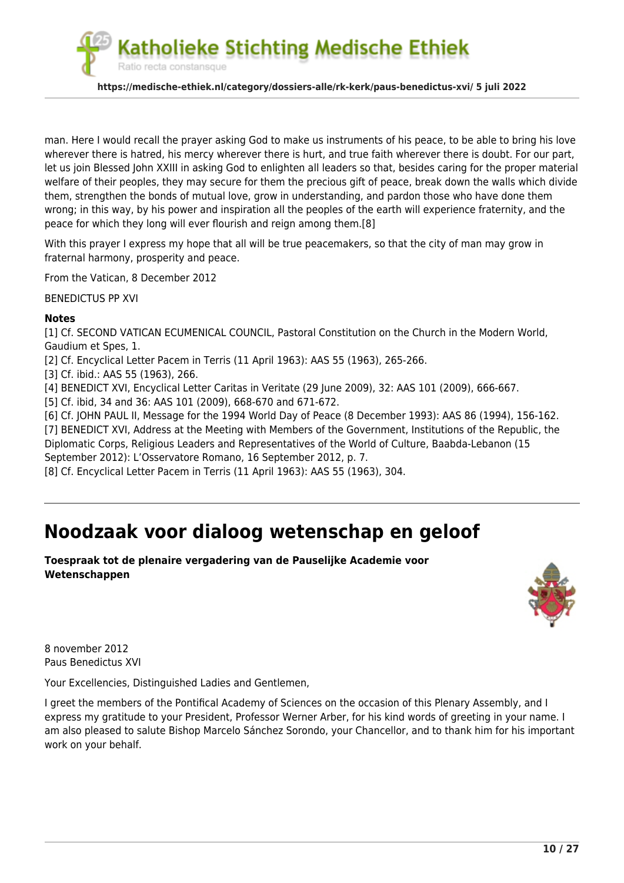

man. Here I would recall the prayer asking God to make us instruments of his peace, to be able to bring his love wherever there is hatred, his mercy wherever there is hurt, and true faith wherever there is doubt. For our part, let us join Blessed John XXIII in asking God to enlighten all leaders so that, besides caring for the proper material welfare of their peoples, they may secure for them the precious gift of peace, break down the walls which divide them, strengthen the bonds of mutual love, grow in understanding, and pardon those who have done them wrong; in this way, by his power and inspiration all the peoples of the earth will experience fraternity, and the peace for which they long will ever flourish and reign among them.[8]

With this prayer I express my hope that all will be true peacemakers, so that the city of man may grow in fraternal harmony, prosperity and peace.

From the Vatican, 8 December 2012

Ratio recta constansque

BENEDICTUS PP XVI

#### **Notes**

[1] Cf. SECOND VATICAN ECUMENICAL COUNCIL, Pastoral Constitution on the Church in the Modern World, Gaudium et Spes, 1.

[2] Cf. Encyclical Letter Pacem in Terris (11 April 1963): AAS 55 (1963), 265-266.

[3] Cf. ibid.: AAS 55 (1963), 266.

[4] BENEDICT XVI, Encyclical Letter Caritas in Veritate (29 June 2009), 32: AAS 101 (2009), 666-667.

[5] Cf. ibid, 34 and 36: AAS 101 (2009), 668-670 and 671-672.

[6] Cf. JOHN PAUL II, Message for the 1994 World Day of Peace (8 December 1993): AAS 86 (1994), 156-162. [7] BENEDICT XVI, Address at the Meeting with Members of the Government, Institutions of the Republic, the Diplomatic Corps, Religious Leaders and Representatives of the World of Culture, Baabda-Lebanon (15 September 2012): L'Osservatore Romano, 16 September 2012, p. 7.

[8] Cf. Encyclical Letter Pacem in Terris (11 April 1963): AAS 55 (1963), 304.

### **[Noodzaak voor dialoog wetenschap en geloof](https://medische-ethiek.nl/noodzaak-voor-dialoog-wetenschap-en-geloof/)**

**Toespraak tot de plenaire vergadering van de Pauselijke Academie voor Wetenschappen**



8 november 2012 Paus Benedictus XVI

Your Excellencies, Distinguished Ladies and Gentlemen,

I greet the members of the Pontifical Academy of Sciences on the occasion of this Plenary Assembly, and I express my gratitude to your President, Professor Werner Arber, for his kind words of greeting in your name. I am also pleased to salute Bishop Marcelo Sánchez Sorondo, your Chancellor, and to thank him for his important work on your behalf.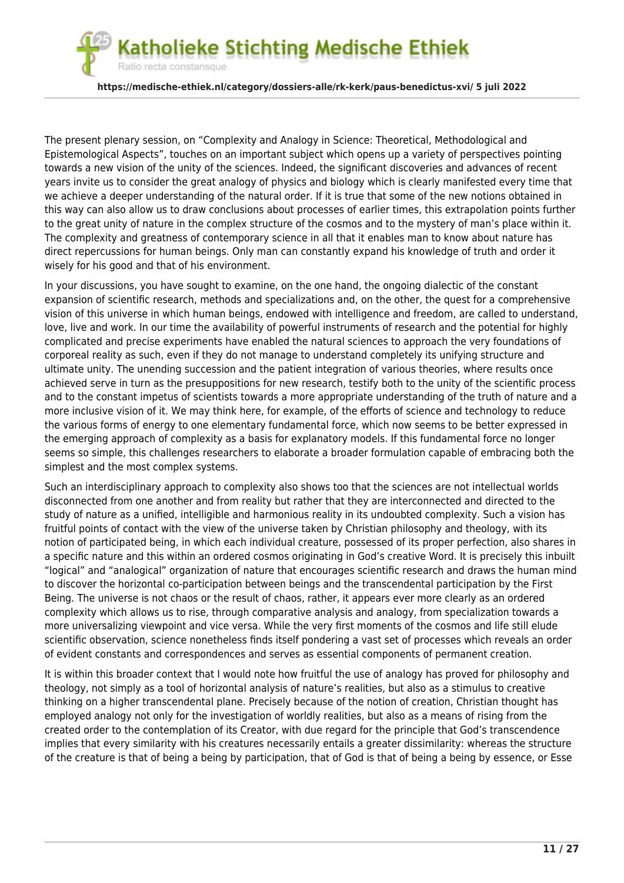#### **https://medische-ethiek.nl/category/dossiers-alle/rk-kerk/paus-benedictus-xvi/ 5 juli 2022**

Ratio recta constansque

The present plenary session, on "Complexity and Analogy in Science: Theoretical, Methodological and Epistemological Aspects", touches on an important subject which opens up a variety of perspectives pointing towards a new vision of the unity of the sciences. Indeed, the significant discoveries and advances of recent years invite us to consider the great analogy of physics and biology which is clearly manifested every time that we achieve a deeper understanding of the natural order. If it is true that some of the new notions obtained in this way can also allow us to draw conclusions about processes of earlier times, this extrapolation points further to the great unity of nature in the complex structure of the cosmos and to the mystery of man's place within it. The complexity and greatness of contemporary science in all that it enables man to know about nature has direct repercussions for human beings. Only man can constantly expand his knowledge of truth and order it wisely for his good and that of his environment.

In your discussions, you have sought to examine, on the one hand, the ongoing dialectic of the constant expansion of scientific research, methods and specializations and, on the other, the quest for a comprehensive vision of this universe in which human beings, endowed with intelligence and freedom, are called to understand, love, live and work. In our time the availability of powerful instruments of research and the potential for highly complicated and precise experiments have enabled the natural sciences to approach the very foundations of corporeal reality as such, even if they do not manage to understand completely its unifying structure and ultimate unity. The unending succession and the patient integration of various theories, where results once achieved serve in turn as the presuppositions for new research, testify both to the unity of the scientific process and to the constant impetus of scientists towards a more appropriate understanding of the truth of nature and a more inclusive vision of it. We may think here, for example, of the efforts of science and technology to reduce the various forms of energy to one elementary fundamental force, which now seems to be better expressed in the emerging approach of complexity as a basis for explanatory models. If this fundamental force no longer seems so simple, this challenges researchers to elaborate a broader formulation capable of embracing both the simplest and the most complex systems.

Such an interdisciplinary approach to complexity also shows too that the sciences are not intellectual worlds disconnected from one another and from reality but rather that they are interconnected and directed to the study of nature as a unified, intelligible and harmonious reality in its undoubted complexity. Such a vision has fruitful points of contact with the view of the universe taken by Christian philosophy and theology, with its notion of participated being, in which each individual creature, possessed of its proper perfection, also shares in a specific nature and this within an ordered cosmos originating in God's creative Word. It is precisely this inbuilt "logical" and "analogical" organization of nature that encourages scientific research and draws the human mind to discover the horizontal co-participation between beings and the transcendental participation by the First Being. The universe is not chaos or the result of chaos, rather, it appears ever more clearly as an ordered complexity which allows us to rise, through comparative analysis and analogy, from specialization towards a more universalizing viewpoint and vice versa. While the very first moments of the cosmos and life still elude scientific observation, science nonetheless finds itself pondering a vast set of processes which reveals an order of evident constants and correspondences and serves as essential components of permanent creation.

It is within this broader context that I would note how fruitful the use of analogy has proved for philosophy and theology, not simply as a tool of horizontal analysis of nature's realities, but also as a stimulus to creative thinking on a higher transcendental plane. Precisely because of the notion of creation, Christian thought has employed analogy not only for the investigation of worldly realities, but also as a means of rising from the created order to the contemplation of its Creator, with due regard for the principle that God's transcendence implies that every similarity with his creatures necessarily entails a greater dissimilarity: whereas the structure of the creature is that of being a being by participation, that of God is that of being a being by essence, or Esse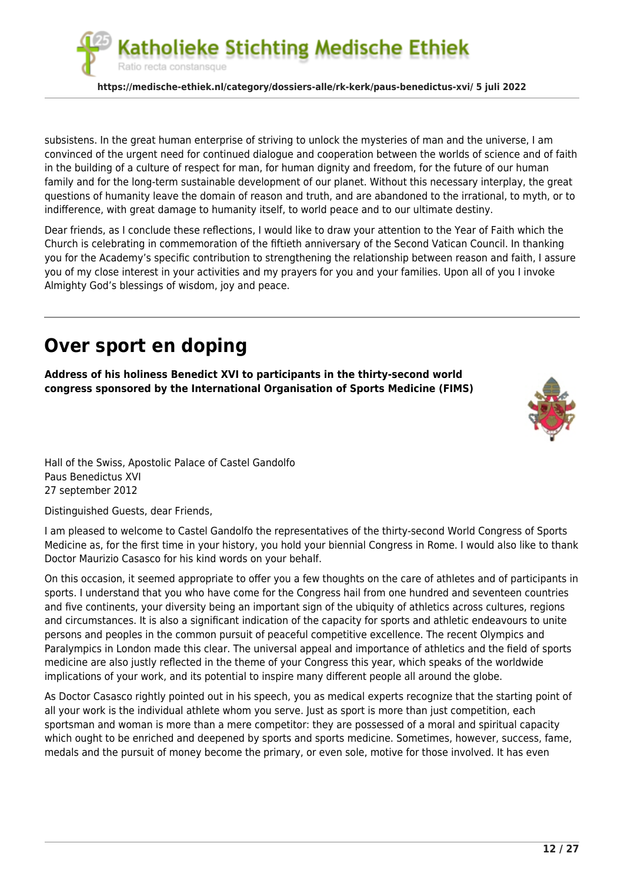tholieke Stichting Medische Ethiek Ratio recta constansque

**https://medische-ethiek.nl/category/dossiers-alle/rk-kerk/paus-benedictus-xvi/ 5 juli 2022**

subsistens. In the great human enterprise of striving to unlock the mysteries of man and the universe, I am convinced of the urgent need for continued dialogue and cooperation between the worlds of science and of faith in the building of a culture of respect for man, for human dignity and freedom, for the future of our human family and for the long-term sustainable development of our planet. Without this necessary interplay, the great questions of humanity leave the domain of reason and truth, and are abandoned to the irrational, to myth, or to indifference, with great damage to humanity itself, to world peace and to our ultimate destiny.

Dear friends, as I conclude these reflections, I would like to draw your attention to the Year of Faith which the Church is celebrating in commemoration of the fiftieth anniversary of the Second Vatican Council. In thanking you for the Academy's specific contribution to strengthening the relationship between reason and faith, I assure you of my close interest in your activities and my prayers for you and your families. Upon all of you I invoke Almighty God's blessings of wisdom, joy and peace.

## **[Over sport en doping](https://medische-ethiek.nl/over-sport-en-doping/)**

**Address of his holiness Benedict XVI to participants in the thirty-second world congress sponsored by the International Organisation of Sports Medicine (FIMS)**



Hall of the Swiss, Apostolic Palace of Castel Gandolfo Paus Benedictus XVI 27 september 2012

Distinguished Guests, dear Friends,

I am pleased to welcome to Castel Gandolfo the representatives of the thirty-second World Congress of Sports Medicine as, for the first time in your history, you hold your biennial Congress in Rome. I would also like to thank Doctor Maurizio Casasco for his kind words on your behalf.

On this occasion, it seemed appropriate to offer you a few thoughts on the care of athletes and of participants in sports. I understand that you who have come for the Congress hail from one hundred and seventeen countries and five continents, your diversity being an important sign of the ubiquity of athletics across cultures, regions and circumstances. It is also a significant indication of the capacity for sports and athletic endeavours to unite persons and peoples in the common pursuit of peaceful competitive excellence. The recent Olympics and Paralympics in London made this clear. The universal appeal and importance of athletics and the field of sports medicine are also justly reflected in the theme of your Congress this year, which speaks of the worldwide implications of your work, and its potential to inspire many different people all around the globe.

As Doctor Casasco rightly pointed out in his speech, you as medical experts recognize that the starting point of all your work is the individual athlete whom you serve. Just as sport is more than just competition, each sportsman and woman is more than a mere competitor: they are possessed of a moral and spiritual capacity which ought to be enriched and deepened by sports and sports medicine. Sometimes, however, success, fame, medals and the pursuit of money become the primary, or even sole, motive for those involved. It has even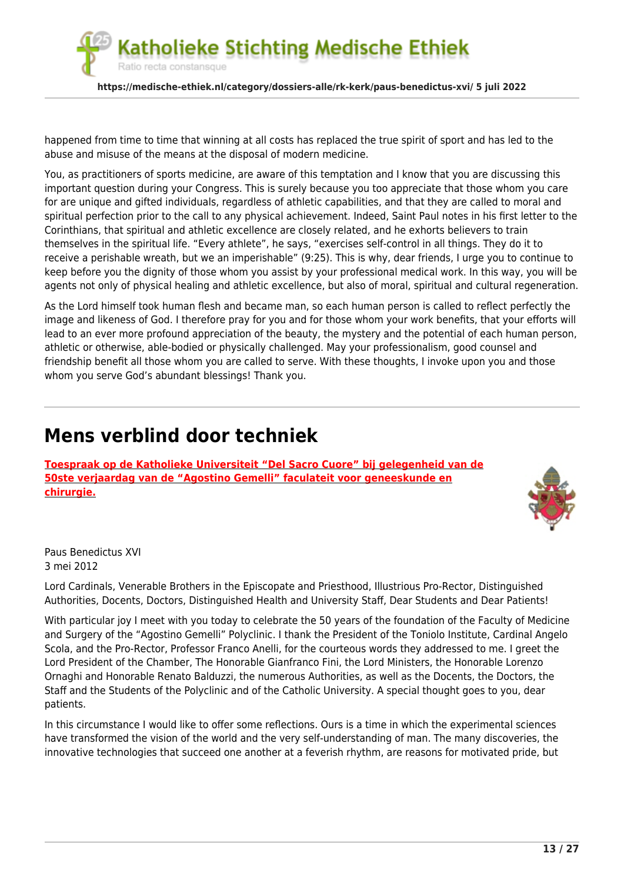

happened from time to time that winning at all costs has replaced the true spirit of sport and has led to the abuse and misuse of the means at the disposal of modern medicine.

You, as practitioners of sports medicine, are aware of this temptation and I know that you are discussing this important question during your Congress. This is surely because you too appreciate that those whom you care for are unique and gifted individuals, regardless of athletic capabilities, and that they are called to moral and spiritual perfection prior to the call to any physical achievement. Indeed, Saint Paul notes in his first letter to the Corinthians, that spiritual and athletic excellence are closely related, and he exhorts believers to train themselves in the spiritual life. "Every athlete", he says, "exercises self-control in all things. They do it to receive a perishable wreath, but we an imperishable" (9:25). This is why, dear friends, I urge you to continue to keep before you the dignity of those whom you assist by your professional medical work. In this way, you will be agents not only of physical healing and athletic excellence, but also of moral, spiritual and cultural regeneration.

As the Lord himself took human flesh and became man, so each human person is called to reflect perfectly the image and likeness of God. I therefore pray for you and for those whom your work benefits, that your efforts will lead to an ever more profound appreciation of the beauty, the mystery and the potential of each human person, athletic or otherwise, able-bodied or physically challenged. May your professionalism, good counsel and friendship benefit all those whom you are called to serve. With these thoughts, I invoke upon you and those whom you serve God's abundant blessings! Thank you.

## **[Mens verblind door techniek](https://medische-ethiek.nl/mens-verblind-door-techniek/)**

**[Toespraak op de Katholieke Universiteit "Del Sacro Cuore" bij gelegenheid van de](https://web.archive.org/web/20120615212533/http://www.zenit.org/article-34718?l=english) [50ste verjaardag van de "Agostino Gemelli" faculateit voor geneeskunde en](https://web.archive.org/web/20120615212533/http://www.zenit.org/article-34718?l=english) [chirurgie.](https://web.archive.org/web/20120615212533/http://www.zenit.org/article-34718?l=english)**



Paus Benedictus XVI 3 mei 2012

Lord Cardinals, Venerable Brothers in the Episcopate and Priesthood, Illustrious Pro-Rector, Distinguished Authorities, Docents, Doctors, Distinguished Health and University Staff, Dear Students and Dear Patients!

With particular joy I meet with you today to celebrate the 50 years of the foundation of the Faculty of Medicine and Surgery of the "Agostino Gemelli" Polyclinic. I thank the President of the Toniolo Institute, Cardinal Angelo Scola, and the Pro-Rector, Professor Franco Anelli, for the courteous words they addressed to me. I greet the Lord President of the Chamber, The Honorable Gianfranco Fini, the Lord Ministers, the Honorable Lorenzo Ornaghi and Honorable Renato Balduzzi, the numerous Authorities, as well as the Docents, the Doctors, the Staff and the Students of the Polyclinic and of the Catholic University. A special thought goes to you, dear patients.

In this circumstance I would like to offer some reflections. Ours is a time in which the experimental sciences have transformed the vision of the world and the very self-understanding of man. The many discoveries, the innovative technologies that succeed one another at a feverish rhythm, are reasons for motivated pride, but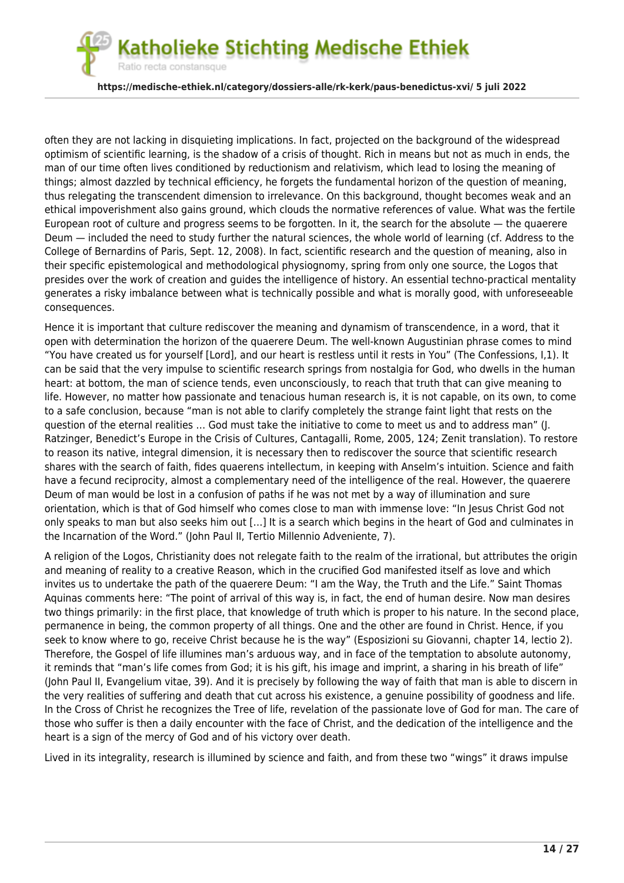### **https://medische-ethiek.nl/category/dossiers-alle/rk-kerk/paus-benedictus-xvi/ 5 juli 2022**

Ratio recta constansque

often they are not lacking in disquieting implications. In fact, projected on the background of the widespread optimism of scientific learning, is the shadow of a crisis of thought. Rich in means but not as much in ends, the man of our time often lives conditioned by reductionism and relativism, which lead to losing the meaning of things; almost dazzled by technical efficiency, he forgets the fundamental horizon of the question of meaning, thus relegating the transcendent dimension to irrelevance. On this background, thought becomes weak and an ethical impoverishment also gains ground, which clouds the normative references of value. What was the fertile European root of culture and progress seems to be forgotten. In it, the search for the absolute — the quaerere Deum — included the need to study further the natural sciences, the whole world of learning (cf. Address to the College of Bernardins of Paris, Sept. 12, 2008). In fact, scientific research and the question of meaning, also in their specific epistemological and methodological physiognomy, spring from only one source, the Logos that presides over the work of creation and guides the intelligence of history. An essential techno-practical mentality generates a risky imbalance between what is technically possible and what is morally good, with unforeseeable consequences.

Hence it is important that culture rediscover the meaning and dynamism of transcendence, in a word, that it open with determination the horizon of the quaerere Deum. The well-known Augustinian phrase comes to mind "You have created us for yourself [Lord], and our heart is restless until it rests in You" (The Confessions, I,1). It can be said that the very impulse to scientific research springs from nostalgia for God, who dwells in the human heart: at bottom, the man of science tends, even unconsciously, to reach that truth that can give meaning to life. However, no matter how passionate and tenacious human research is, it is not capable, on its own, to come to a safe conclusion, because "man is not able to clarify completely the strange faint light that rests on the question of the eternal realities … God must take the initiative to come to meet us and to address man" (J. Ratzinger, Benedict's Europe in the Crisis of Cultures, Cantagalli, Rome, 2005, 124; Zenit translation). To restore to reason its native, integral dimension, it is necessary then to rediscover the source that scientific research shares with the search of faith, fides quaerens intellectum, in keeping with Anselm's intuition. Science and faith have a fecund reciprocity, almost a complementary need of the intelligence of the real. However, the quaerere Deum of man would be lost in a confusion of paths if he was not met by a way of illumination and sure orientation, which is that of God himself who comes close to man with immense love: "In Jesus Christ God not only speaks to man but also seeks him out […] It is a search which begins in the heart of God and culminates in the Incarnation of the Word." (John Paul II, Tertio Millennio Adveniente, 7).

A religion of the Logos, Christianity does not relegate faith to the realm of the irrational, but attributes the origin and meaning of reality to a creative Reason, which in the crucified God manifested itself as love and which invites us to undertake the path of the quaerere Deum: "I am the Way, the Truth and the Life." Saint Thomas Aquinas comments here: "The point of arrival of this way is, in fact, the end of human desire. Now man desires two things primarily: in the first place, that knowledge of truth which is proper to his nature. In the second place, permanence in being, the common property of all things. One and the other are found in Christ. Hence, if you seek to know where to go, receive Christ because he is the way" (Esposizioni su Giovanni, chapter 14, lectio 2). Therefore, the Gospel of life illumines man's arduous way, and in face of the temptation to absolute autonomy, it reminds that "man's life comes from God; it is his gift, his image and imprint, a sharing in his breath of life" (John Paul II, Evangelium vitae, 39). And it is precisely by following the way of faith that man is able to discern in the very realities of suffering and death that cut across his existence, a genuine possibility of goodness and life. In the Cross of Christ he recognizes the Tree of life, revelation of the passionate love of God for man. The care of those who suffer is then a daily encounter with the face of Christ, and the dedication of the intelligence and the heart is a sign of the mercy of God and of his victory over death.

Lived in its integrality, research is illumined by science and faith, and from these two "wings" it draws impulse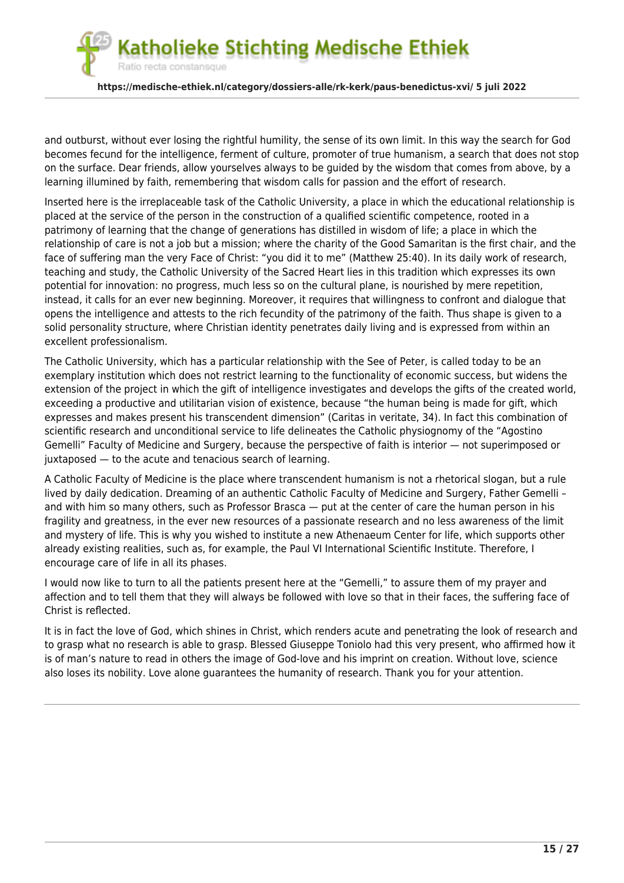atholieke Stichting Medische Ethiek Ratio recta constansque

**https://medische-ethiek.nl/category/dossiers-alle/rk-kerk/paus-benedictus-xvi/ 5 juli 2022**

and outburst, without ever losing the rightful humility, the sense of its own limit. In this way the search for God becomes fecund for the intelligence, ferment of culture, promoter of true humanism, a search that does not stop on the surface. Dear friends, allow yourselves always to be guided by the wisdom that comes from above, by a learning illumined by faith, remembering that wisdom calls for passion and the effort of research.

Inserted here is the irreplaceable task of the Catholic University, a place in which the educational relationship is placed at the service of the person in the construction of a qualified scientific competence, rooted in a patrimony of learning that the change of generations has distilled in wisdom of life; a place in which the relationship of care is not a job but a mission; where the charity of the Good Samaritan is the first chair, and the face of suffering man the very Face of Christ: "you did it to me" (Matthew 25:40). In its daily work of research, teaching and study, the Catholic University of the Sacred Heart lies in this tradition which expresses its own potential for innovation: no progress, much less so on the cultural plane, is nourished by mere repetition, instead, it calls for an ever new beginning. Moreover, it requires that willingness to confront and dialogue that opens the intelligence and attests to the rich fecundity of the patrimony of the faith. Thus shape is given to a solid personality structure, where Christian identity penetrates daily living and is expressed from within an excellent professionalism.

The Catholic University, which has a particular relationship with the See of Peter, is called today to be an exemplary institution which does not restrict learning to the functionality of economic success, but widens the extension of the project in which the gift of intelligence investigates and develops the gifts of the created world, exceeding a productive and utilitarian vision of existence, because "the human being is made for gift, which expresses and makes present his transcendent dimension" (Caritas in veritate, 34). In fact this combination of scientific research and unconditional service to life delineates the Catholic physiognomy of the "Agostino Gemelli" Faculty of Medicine and Surgery, because the perspective of faith is interior — not superimposed or juxtaposed — to the acute and tenacious search of learning.

A Catholic Faculty of Medicine is the place where transcendent humanism is not a rhetorical slogan, but a rule lived by daily dedication. Dreaming of an authentic Catholic Faculty of Medicine and Surgery, Father Gemelli – and with him so many others, such as Professor Brasca — put at the center of care the human person in his fragility and greatness, in the ever new resources of a passionate research and no less awareness of the limit and mystery of life. This is why you wished to institute a new Athenaeum Center for life, which supports other already existing realities, such as, for example, the Paul VI International Scientific Institute. Therefore, I encourage care of life in all its phases.

I would now like to turn to all the patients present here at the "Gemelli," to assure them of my prayer and affection and to tell them that they will always be followed with love so that in their faces, the suffering face of Christ is reflected.

It is in fact the love of God, which shines in Christ, which renders acute and penetrating the look of research and to grasp what no research is able to grasp. Blessed Giuseppe Toniolo had this very present, who affirmed how it is of man's nature to read in others the image of God-love and his imprint on creation. Without love, science also loses its nobility. Love alone guarantees the humanity of research. Thank you for your attention.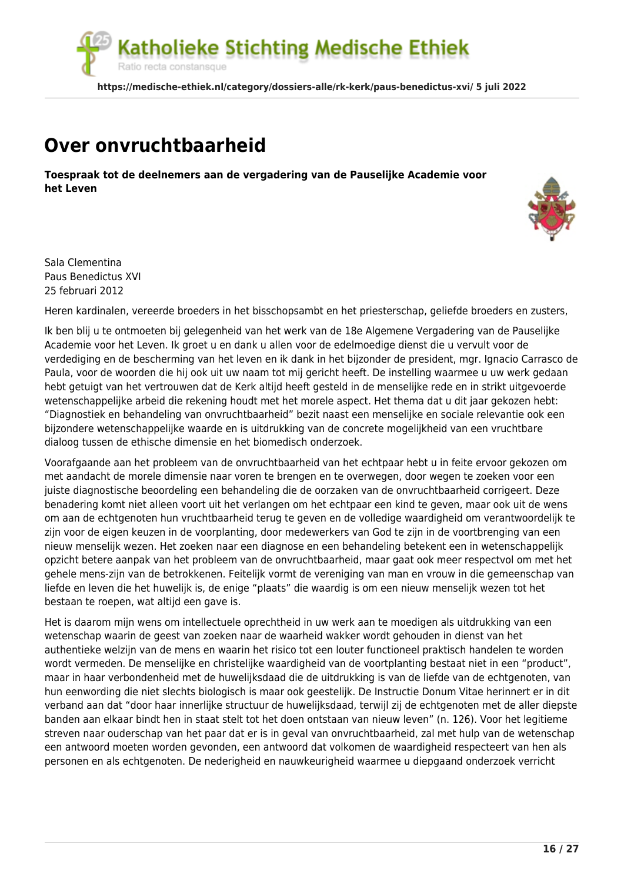

## **[Over onvruchtbaarheid](https://medische-ethiek.nl/over-onvruchtbaarheid/)**

**Toespraak tot de deelnemers aan de vergadering van de Pauselijke Academie voor het Leven**



Sala Clementina Paus Benedictus XVI 25 februari 2012

Heren kardinalen, vereerde broeders in het bisschopsambt en het priesterschap, geliefde broeders en zusters,

Ik ben blij u te ontmoeten bij gelegenheid van het werk van de 18e Algemene Vergadering van de Pauselijke Academie voor het Leven. Ik groet u en dank u allen voor de edelmoedige dienst die u vervult voor de verdediging en de bescherming van het leven en ik dank in het bijzonder de president, mgr. Ignacio Carrasco de Paula, voor de woorden die hij ook uit uw naam tot mij gericht heeft. De instelling waarmee u uw werk gedaan hebt getuigt van het vertrouwen dat de Kerk altijd heeft gesteld in de menselijke rede en in strikt uitgevoerde wetenschappelijke arbeid die rekening houdt met het morele aspect. Het thema dat u dit jaar gekozen hebt: "Diagnostiek en behandeling van onvruchtbaarheid" bezit naast een menselijke en sociale relevantie ook een bijzondere wetenschappelijke waarde en is uitdrukking van de concrete mogelijkheid van een vruchtbare dialoog tussen de ethische dimensie en het biomedisch onderzoek.

Voorafgaande aan het probleem van de onvruchtbaarheid van het echtpaar hebt u in feite ervoor gekozen om met aandacht de morele dimensie naar voren te brengen en te overwegen, door wegen te zoeken voor een juiste diagnostische beoordeling een behandeling die de oorzaken van de onvruchtbaarheid corrigeert. Deze benadering komt niet alleen voort uit het verlangen om het echtpaar een kind te geven, maar ook uit de wens om aan de echtgenoten hun vruchtbaarheid terug te geven en de volledige waardigheid om verantwoordelijk te zijn voor de eigen keuzen in de voorplanting, door medewerkers van God te zijn in de voortbrenging van een nieuw menselijk wezen. Het zoeken naar een diagnose en een behandeling betekent een in wetenschappelijk opzicht betere aanpak van het probleem van de onvruchtbaarheid, maar gaat ook meer respectvol om met het gehele mens-zijn van de betrokkenen. Feitelijk vormt de vereniging van man en vrouw in die gemeenschap van liefde en leven die het huwelijk is, de enige "plaats" die waardig is om een nieuw menselijk wezen tot het bestaan te roepen, wat altijd een gave is.

Het is daarom mijn wens om intellectuele oprechtheid in uw werk aan te moedigen als uitdrukking van een wetenschap waarin de geest van zoeken naar de waarheid wakker wordt gehouden in dienst van het authentieke welzijn van de mens en waarin het risico tot een louter functioneel praktisch handelen te worden wordt vermeden. De menselijke en christelijke waardigheid van de voortplanting bestaat niet in een "product", maar in haar verbondenheid met de huwelijksdaad die de uitdrukking is van de liefde van de echtgenoten, van hun eenwording die niet slechts biologisch is maar ook geestelijk. De Instructie Donum Vitae herinnert er in dit verband aan dat "door haar innerlijke structuur de huwelijksdaad, terwijl zij de echtgenoten met de aller diepste banden aan elkaar bindt hen in staat stelt tot het doen ontstaan van nieuw leven" (n. 126). Voor het legitieme streven naar ouderschap van het paar dat er is in geval van onvruchtbaarheid, zal met hulp van de wetenschap een antwoord moeten worden gevonden, een antwoord dat volkomen de waardigheid respecteert van hen als personen en als echtgenoten. De nederigheid en nauwkeurigheid waarmee u diepgaand onderzoek verricht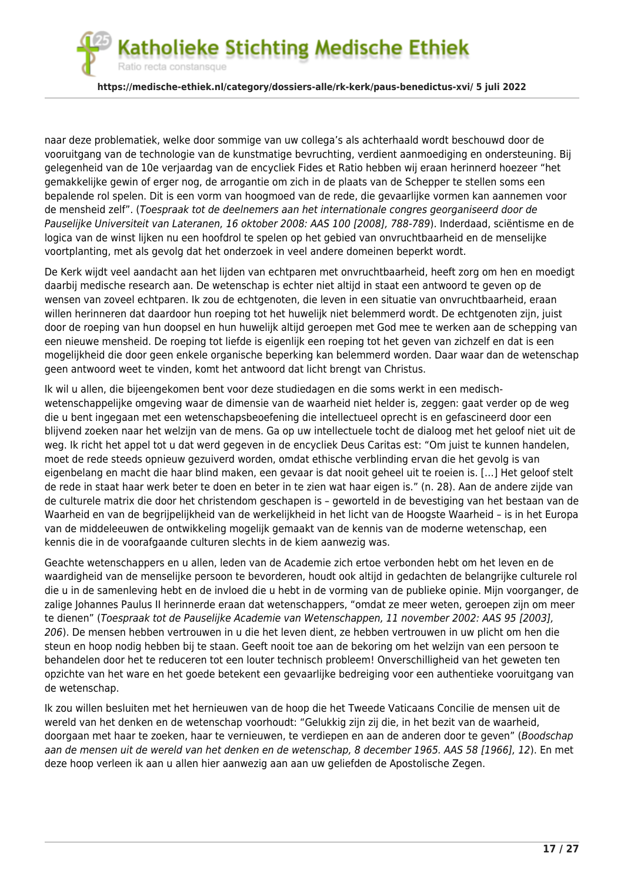

Ratio recta constansque

naar deze problematiek, welke door sommige van uw collega's als achterhaald wordt beschouwd door de vooruitgang van de technologie van de kunstmatige bevruchting, verdient aanmoediging en ondersteuning. Bij gelegenheid van de 10e verjaardag van de encycliek Fides et Ratio hebben wij eraan herinnerd hoezeer "het gemakkelijke gewin of erger nog, de arrogantie om zich in de plaats van de Schepper te stellen soms een bepalende rol spelen. Dit is een vorm van hoogmoed van de rede, die gevaarlijke vormen kan aannemen voor de mensheid zelf". (Toespraak tot de deelnemers aan het internationale congres georganiseerd door de Pauselijke Universiteit van Lateranen, 16 oktober 2008: AAS 100 [2008], 788-789). Inderdaad, sciëntisme en de logica van de winst lijken nu een hoofdrol te spelen op het gebied van onvruchtbaarheid en de menselijke voortplanting, met als gevolg dat het onderzoek in veel andere domeinen beperkt wordt.

De Kerk wijdt veel aandacht aan het lijden van echtparen met onvruchtbaarheid, heeft zorg om hen en moedigt daarbij medische research aan. De wetenschap is echter niet altijd in staat een antwoord te geven op de wensen van zoveel echtparen. Ik zou de echtgenoten, die leven in een situatie van onvruchtbaarheid, eraan willen herinneren dat daardoor hun roeping tot het huwelijk niet belemmerd wordt. De echtgenoten zijn, juist door de roeping van hun doopsel en hun huwelijk altijd geroepen met God mee te werken aan de schepping van een nieuwe mensheid. De roeping tot liefde is eigenlijk een roeping tot het geven van zichzelf en dat is een mogelijkheid die door geen enkele organische beperking kan belemmerd worden. Daar waar dan de wetenschap geen antwoord weet te vinden, komt het antwoord dat licht brengt van Christus.

Ik wil u allen, die bijeengekomen bent voor deze studiedagen en die soms werkt in een medischwetenschappelijke omgeving waar de dimensie van de waarheid niet helder is, zeggen: gaat verder op de weg die u bent ingegaan met een wetenschapsbeoefening die intellectueel oprecht is en gefascineerd door een blijvend zoeken naar het welzijn van de mens. Ga op uw intellectuele tocht de dialoog met het geloof niet uit de weg. Ik richt het appel tot u dat werd gegeven in de encycliek Deus Caritas est: "Om juist te kunnen handelen, moet de rede steeds opnieuw gezuiverd worden, omdat ethische verblinding ervan die het gevolg is van eigenbelang en macht die haar blind maken, een gevaar is dat nooit geheel uit te roeien is. […] Het geloof stelt de rede in staat haar werk beter te doen en beter in te zien wat haar eigen is." (n. 28). Aan de andere zijde van de culturele matrix die door het christendom geschapen is – geworteld in de bevestiging van het bestaan van de Waarheid en van de begrijpelijkheid van de werkelijkheid in het licht van de Hoogste Waarheid – is in het Europa van de middeleeuwen de ontwikkeling mogelijk gemaakt van de kennis van de moderne wetenschap, een kennis die in de voorafgaande culturen slechts in de kiem aanwezig was.

Geachte wetenschappers en u allen, leden van de Academie zich ertoe verbonden hebt om het leven en de waardigheid van de menselijke persoon te bevorderen, houdt ook altijd in gedachten de belangrijke culturele rol die u in de samenleving hebt en de invloed die u hebt in de vorming van de publieke opinie. Mijn voorganger, de zalige Johannes Paulus II herinnerde eraan dat wetenschappers, "omdat ze meer weten, geroepen zijn om meer te dienen" (Toespraak tot de Pauselijke Academie van Wetenschappen, 11 november 2002: AAS 95 [2003], 206). De mensen hebben vertrouwen in u die het leven dient, ze hebben vertrouwen in uw plicht om hen die steun en hoop nodig hebben bij te staan. Geeft nooit toe aan de bekoring om het welzijn van een persoon te behandelen door het te reduceren tot een louter technisch probleem! Onverschilligheid van het geweten ten opzichte van het ware en het goede betekent een gevaarlijke bedreiging voor een authentieke vooruitgang van de wetenschap.

Ik zou willen besluiten met het hernieuwen van de hoop die het Tweede Vaticaans Concilie de mensen uit de wereld van het denken en de wetenschap voorhoudt: "Gelukkig zijn zij die, in het bezit van de waarheid, doorgaan met haar te zoeken, haar te vernieuwen, te verdiepen en aan de anderen door te geven" (Boodschap aan de mensen uit de wereld van het denken en de wetenschap, 8 december 1965. AAS 58 [1966], 12). En met deze hoop verleen ik aan u allen hier aanwezig aan aan uw geliefden de Apostolische Zegen.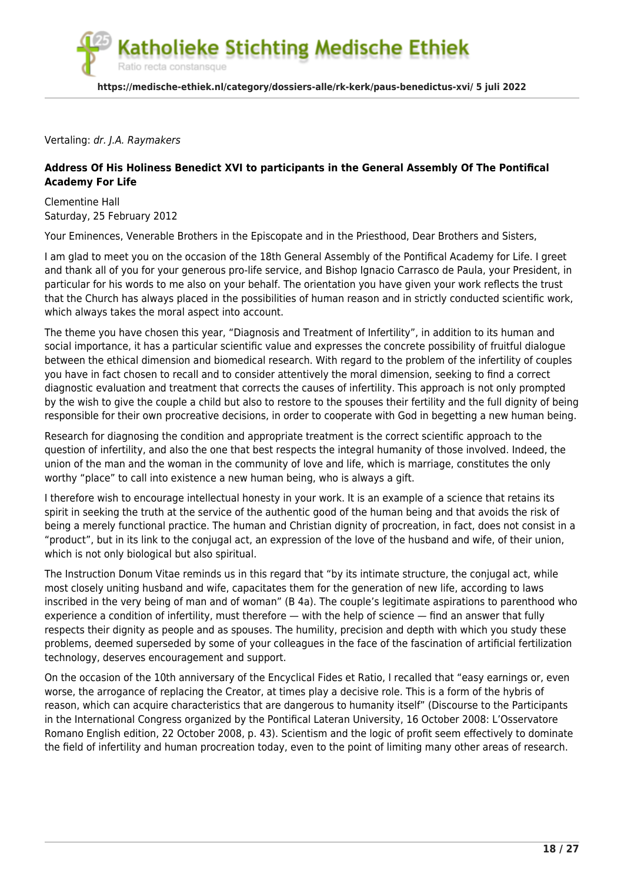

Vertaling: dr. J.A. Raymakers

### **Address Of His Holiness Benedict XVI to participants in the General Assembly Of The Pontifical Academy For Life**

Clementine Hall Saturday, 25 February 2012

Your Eminences, Venerable Brothers in the Episcopate and in the Priesthood, Dear Brothers and Sisters,

I am glad to meet you on the occasion of the 18th General Assembly of the Pontifical Academy for Life. I greet and thank all of you for your generous pro-life service, and Bishop Ignacio Carrasco de Paula, your President, in particular for his words to me also on your behalf. The orientation you have given your work reflects the trust that the Church has always placed in the possibilities of human reason and in strictly conducted scientific work, which always takes the moral aspect into account.

The theme you have chosen this year, "Diagnosis and Treatment of Infertility", in addition to its human and social importance, it has a particular scientific value and expresses the concrete possibility of fruitful dialogue between the ethical dimension and biomedical research. With regard to the problem of the infertility of couples you have in fact chosen to recall and to consider attentively the moral dimension, seeking to find a correct diagnostic evaluation and treatment that corrects the causes of infertility. This approach is not only prompted by the wish to give the couple a child but also to restore to the spouses their fertility and the full dignity of being responsible for their own procreative decisions, in order to cooperate with God in begetting a new human being.

Research for diagnosing the condition and appropriate treatment is the correct scientific approach to the question of infertility, and also the one that best respects the integral humanity of those involved. Indeed, the union of the man and the woman in the community of love and life, which is marriage, constitutes the only worthy "place" to call into existence a new human being, who is always a gift.

I therefore wish to encourage intellectual honesty in your work. It is an example of a science that retains its spirit in seeking the truth at the service of the authentic good of the human being and that avoids the risk of being a merely functional practice. The human and Christian dignity of procreation, in fact, does not consist in a "product", but in its link to the conjugal act, an expression of the love of the husband and wife, of their union, which is not only biological but also spiritual.

The Instruction Donum Vitae reminds us in this regard that "by its intimate structure, the conjugal act, while most closely uniting husband and wife, capacitates them for the generation of new life, according to laws inscribed in the very being of man and of woman" (B 4a). The couple's legitimate aspirations to parenthood who experience a condition of infertility, must therefore — with the help of science — find an answer that fully respects their dignity as people and as spouses. The humility, precision and depth with which you study these problems, deemed superseded by some of your colleagues in the face of the fascination of artificial fertilization technology, deserves encouragement and support.

On the occasion of the 10th anniversary of the Encyclical Fides et Ratio, I recalled that "easy earnings or, even worse, the arrogance of replacing the Creator, at times play a decisive role. This is a form of the hybris of reason, which can acquire characteristics that are dangerous to humanity itself" (Discourse to the Participants in the International Congress organized by the Pontifical Lateran University, 16 October 2008: L'Osservatore Romano English edition, 22 October 2008, p. 43). Scientism and the logic of profit seem effectively to dominate the field of infertility and human procreation today, even to the point of limiting many other areas of research.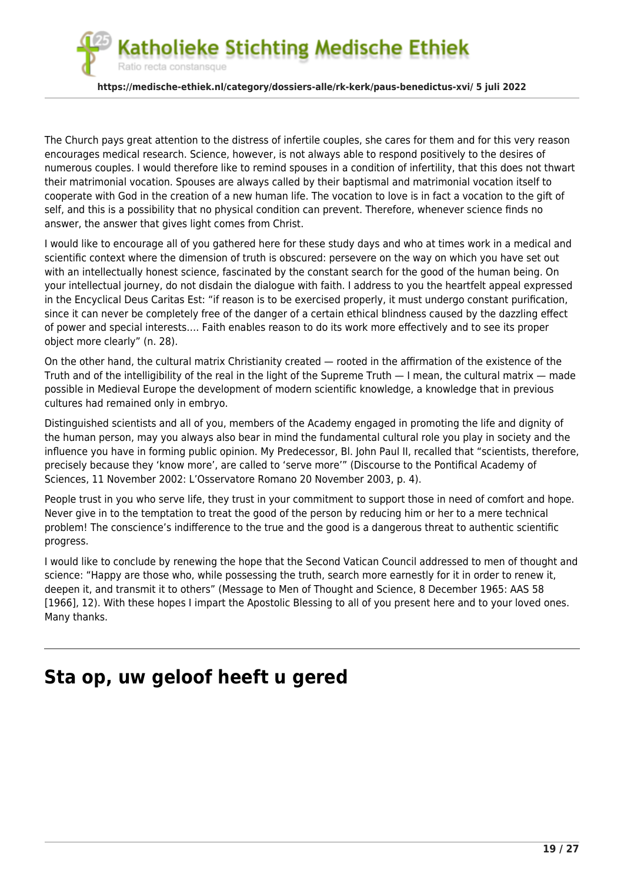

Ratio recta constansque

The Church pays great attention to the distress of infertile couples, she cares for them and for this very reason encourages medical research. Science, however, is not always able to respond positively to the desires of numerous couples. I would therefore like to remind spouses in a condition of infertility, that this does not thwart their matrimonial vocation. Spouses are always called by their baptismal and matrimonial vocation itself to cooperate with God in the creation of a new human life. The vocation to love is in fact a vocation to the gift of self, and this is a possibility that no physical condition can prevent. Therefore, whenever science finds no answer, the answer that gives light comes from Christ.

I would like to encourage all of you gathered here for these study days and who at times work in a medical and scientific context where the dimension of truth is obscured: persevere on the way on which you have set out with an intellectually honest science, fascinated by the constant search for the good of the human being. On your intellectual journey, do not disdain the dialogue with faith. I address to you the heartfelt appeal expressed in the Encyclical Deus Caritas Est: "if reason is to be exercised properly, it must undergo constant purification, since it can never be completely free of the danger of a certain ethical blindness caused by the dazzling effect of power and special interests…. Faith enables reason to do its work more effectively and to see its proper object more clearly" (n. 28).

On the other hand, the cultural matrix Christianity created — rooted in the affirmation of the existence of the Truth and of the intelligibility of the real in the light of the Supreme Truth — I mean, the cultural matrix — made possible in Medieval Europe the development of modern scientific knowledge, a knowledge that in previous cultures had remained only in embryo.

Distinguished scientists and all of you, members of the Academy engaged in promoting the life and dignity of the human person, may you always also bear in mind the fundamental cultural role you play in society and the influence you have in forming public opinion. My Predecessor, Bl. John Paul II, recalled that "scientists, therefore, precisely because they 'know more', are called to 'serve more'" (Discourse to the Pontifical Academy of Sciences, 11 November 2002: L'Osservatore Romano 20 November 2003, p. 4).

People trust in you who serve life, they trust in your commitment to support those in need of comfort and hope. Never give in to the temptation to treat the good of the person by reducing him or her to a mere technical problem! The conscience's indifference to the true and the good is a dangerous threat to authentic scientific progress.

I would like to conclude by renewing the hope that the Second Vatican Council addressed to men of thought and science: "Happy are those who, while possessing the truth, search more earnestly for it in order to renew it, deepen it, and transmit it to others" (Message to Men of Thought and Science, 8 December 1965: AAS 58 [1966], 12). With these hopes I impart the Apostolic Blessing to all of you present here and to your loved ones. Many thanks.

### **[Sta op, uw geloof heeft u gered](https://medische-ethiek.nl/sta-op-uw-geloof-heeft-u-gered/)**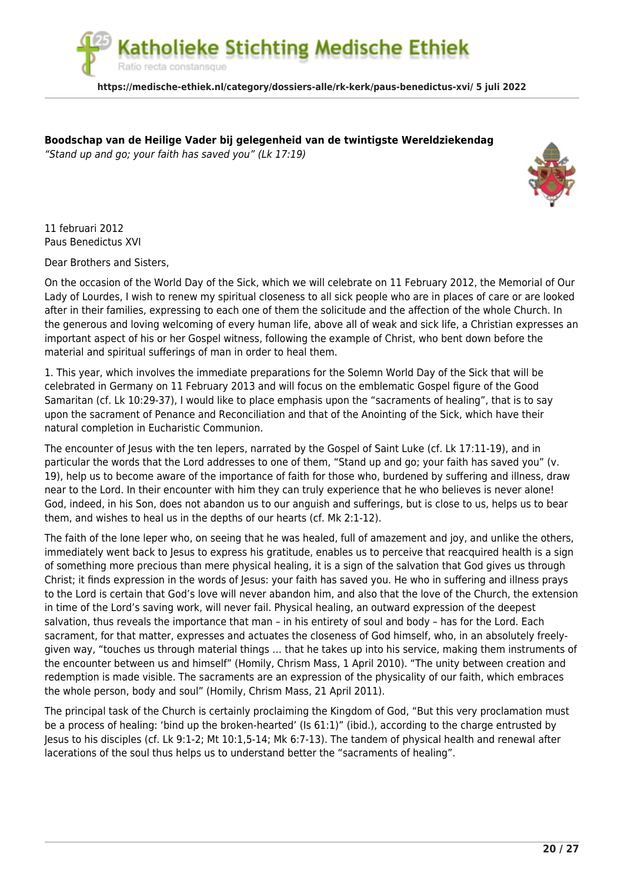

**Boodschap van de Heilige Vader bij gelegenheid van de twintigste Wereldziekendag** "Stand up and go; your faith has saved you" (Lk 17:19)



11 februari 2012 Paus Benedictus XVI

Dear Brothers and Sisters,

On the occasion of the World Day of the Sick, which we will celebrate on 11 February 2012, the Memorial of Our Lady of Lourdes, I wish to renew my spiritual closeness to all sick people who are in places of care or are looked after in their families, expressing to each one of them the solicitude and the affection of the whole Church. In the generous and loving welcoming of every human life, above all of weak and sick life, a Christian expresses an important aspect of his or her Gospel witness, following the example of Christ, who bent down before the material and spiritual sufferings of man in order to heal them.

1. This year, which involves the immediate preparations for the Solemn World Day of the Sick that will be celebrated in Germany on 11 February 2013 and will focus on the emblematic Gospel figure of the Good Samaritan (cf. Lk 10:29-37), I would like to place emphasis upon the "sacraments of healing", that is to say upon the sacrament of Penance and Reconciliation and that of the Anointing of the Sick, which have their natural completion in Eucharistic Communion.

The encounter of Jesus with the ten lepers, narrated by the Gospel of Saint Luke (cf. Lk 17:11-19), and in particular the words that the Lord addresses to one of them, "Stand up and go; your faith has saved you" (v. 19), help us to become aware of the importance of faith for those who, burdened by suffering and illness, draw near to the Lord. In their encounter with him they can truly experience that he who believes is never alone! God, indeed, in his Son, does not abandon us to our anguish and sufferings, but is close to us, helps us to bear them, and wishes to heal us in the depths of our hearts (cf. Mk 2:1-12).

The faith of the lone leper who, on seeing that he was healed, full of amazement and joy, and unlike the others, immediately went back to Jesus to express his gratitude, enables us to perceive that reacquired health is a sign of something more precious than mere physical healing, it is a sign of the salvation that God gives us through Christ; it finds expression in the words of Jesus: your faith has saved you. He who in suffering and illness prays to the Lord is certain that God's love will never abandon him, and also that the love of the Church, the extension in time of the Lord's saving work, will never fail. Physical healing, an outward expression of the deepest salvation, thus reveals the importance that man – in his entirety of soul and body – has for the Lord. Each sacrament, for that matter, expresses and actuates the closeness of God himself, who, in an absolutely freelygiven way, "touches us through material things … that he takes up into his service, making them instruments of the encounter between us and himself" (Homily, Chrism Mass, 1 April 2010). "The unity between creation and redemption is made visible. The sacraments are an expression of the physicality of our faith, which embraces the whole person, body and soul" (Homily, Chrism Mass, 21 April 2011).

The principal task of the Church is certainly proclaiming the Kingdom of God, "But this very proclamation must be a process of healing: 'bind up the broken-hearted' (Is 61:1)" (ibid.), according to the charge entrusted by Jesus to his disciples (cf. Lk 9:1-2; Mt 10:1,5-14; Mk 6:7-13). The tandem of physical health and renewal after lacerations of the soul thus helps us to understand better the "sacraments of healing".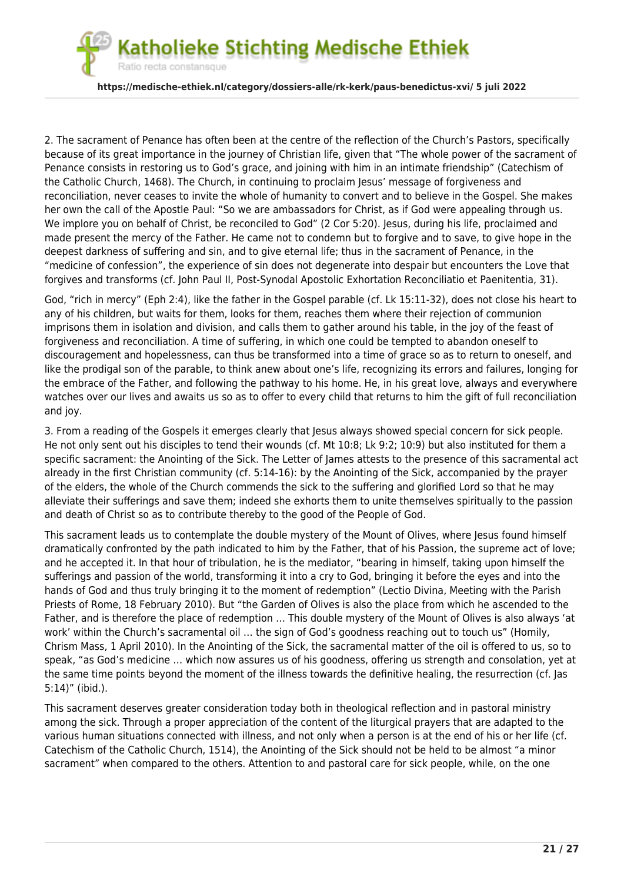Ratio recta constansque

**https://medische-ethiek.nl/category/dossiers-alle/rk-kerk/paus-benedictus-xvi/ 5 juli 2022**

2. The sacrament of Penance has often been at the centre of the reflection of the Church's Pastors, specifically because of its great importance in the journey of Christian life, given that "The whole power of the sacrament of Penance consists in restoring us to God's grace, and joining with him in an intimate friendship" (Catechism of the Catholic Church, 1468). The Church, in continuing to proclaim Jesus' message of forgiveness and reconciliation, never ceases to invite the whole of humanity to convert and to believe in the Gospel. She makes her own the call of the Apostle Paul: "So we are ambassadors for Christ, as if God were appealing through us. We implore you on behalf of Christ, be reconciled to God" (2 Cor 5:20). Jesus, during his life, proclaimed and made present the mercy of the Father. He came not to condemn but to forgive and to save, to give hope in the deepest darkness of suffering and sin, and to give eternal life; thus in the sacrament of Penance, in the "medicine of confession", the experience of sin does not degenerate into despair but encounters the Love that forgives and transforms (cf. John Paul II, Post-Synodal Apostolic Exhortation Reconciliatio et Paenitentia, 31).

God, "rich in mercy" (Eph 2:4), like the father in the Gospel parable (cf. Lk 15:11-32), does not close his heart to any of his children, but waits for them, looks for them, reaches them where their rejection of communion imprisons them in isolation and division, and calls them to gather around his table, in the joy of the feast of forgiveness and reconciliation. A time of suffering, in which one could be tempted to abandon oneself to discouragement and hopelessness, can thus be transformed into a time of grace so as to return to oneself, and like the prodigal son of the parable, to think anew about one's life, recognizing its errors and failures, longing for the embrace of the Father, and following the pathway to his home. He, in his great love, always and everywhere watches over our lives and awaits us so as to offer to every child that returns to him the gift of full reconciliation and joy.

3. From a reading of the Gospels it emerges clearly that Jesus always showed special concern for sick people. He not only sent out his disciples to tend their wounds (cf. Mt 10:8; Lk 9:2; 10:9) but also instituted for them a specific sacrament: the Anointing of the Sick. The Letter of James attests to the presence of this sacramental act already in the first Christian community (cf. 5:14-16): by the Anointing of the Sick, accompanied by the prayer of the elders, the whole of the Church commends the sick to the suffering and glorified Lord so that he may alleviate their sufferings and save them; indeed she exhorts them to unite themselves spiritually to the passion and death of Christ so as to contribute thereby to the good of the People of God.

This sacrament leads us to contemplate the double mystery of the Mount of Olives, where Jesus found himself dramatically confronted by the path indicated to him by the Father, that of his Passion, the supreme act of love; and he accepted it. In that hour of tribulation, he is the mediator, "bearing in himself, taking upon himself the sufferings and passion of the world, transforming it into a cry to God, bringing it before the eyes and into the hands of God and thus truly bringing it to the moment of redemption" (Lectio Divina, Meeting with the Parish Priests of Rome, 18 February 2010). But "the Garden of Olives is also the place from which he ascended to the Father, and is therefore the place of redemption … This double mystery of the Mount of Olives is also always 'at work' within the Church's sacramental oil … the sign of God's goodness reaching out to touch us" (Homily, Chrism Mass, 1 April 2010). In the Anointing of the Sick, the sacramental matter of the oil is offered to us, so to speak, "as God's medicine … which now assures us of his goodness, offering us strength and consolation, yet at the same time points beyond the moment of the illness towards the definitive healing, the resurrection (cf. Jas 5:14)" (ibid.).

This sacrament deserves greater consideration today both in theological reflection and in pastoral ministry among the sick. Through a proper appreciation of the content of the liturgical prayers that are adapted to the various human situations connected with illness, and not only when a person is at the end of his or her life (cf. Catechism of the Catholic Church, 1514), the Anointing of the Sick should not be held to be almost "a minor sacrament" when compared to the others. Attention to and pastoral care for sick people, while, on the one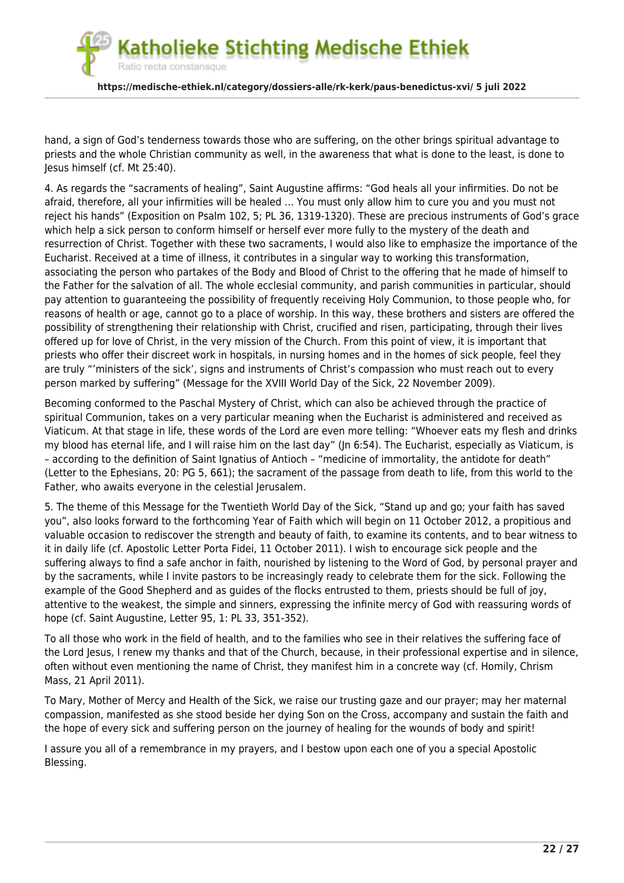atholieke Stichting Medische Ethiek Ratio recta constansque **https://medische-ethiek.nl/category/dossiers-alle/rk-kerk/paus-benedictus-xvi/ 5 juli 2022**

hand, a sign of God's tenderness towards those who are suffering, on the other brings spiritual advantage to priests and the whole Christian community as well, in the awareness that what is done to the least, is done to Jesus himself (cf. Mt 25:40).

4. As regards the "sacraments of healing", Saint Augustine affirms: "God heals all your infirmities. Do not be afraid, therefore, all your infirmities will be healed … You must only allow him to cure you and you must not reject his hands" (Exposition on Psalm 102, 5; PL 36, 1319-1320). These are precious instruments of God's grace which help a sick person to conform himself or herself ever more fully to the mystery of the death and resurrection of Christ. Together with these two sacraments, I would also like to emphasize the importance of the Eucharist. Received at a time of illness, it contributes in a singular way to working this transformation, associating the person who partakes of the Body and Blood of Christ to the offering that he made of himself to the Father for the salvation of all. The whole ecclesial community, and parish communities in particular, should pay attention to guaranteeing the possibility of frequently receiving Holy Communion, to those people who, for reasons of health or age, cannot go to a place of worship. In this way, these brothers and sisters are offered the possibility of strengthening their relationship with Christ, crucified and risen, participating, through their lives offered up for love of Christ, in the very mission of the Church. From this point of view, it is important that priests who offer their discreet work in hospitals, in nursing homes and in the homes of sick people, feel they are truly "'ministers of the sick', signs and instruments of Christ's compassion who must reach out to every person marked by suffering" (Message for the XVIII World Day of the Sick, 22 November 2009).

Becoming conformed to the Paschal Mystery of Christ, which can also be achieved through the practice of spiritual Communion, takes on a very particular meaning when the Eucharist is administered and received as Viaticum. At that stage in life, these words of the Lord are even more telling: "Whoever eats my flesh and drinks my blood has eternal life, and I will raise him on the last day" (Jn 6:54). The Eucharist, especially as Viaticum, is – according to the definition of Saint Ignatius of Antioch – "medicine of immortality, the antidote for death" (Letter to the Ephesians, 20: PG 5, 661); the sacrament of the passage from death to life, from this world to the Father, who awaits everyone in the celestial Jerusalem.

5. The theme of this Message for the Twentieth World Day of the Sick, "Stand up and go; your faith has saved you", also looks forward to the forthcoming Year of Faith which will begin on 11 October 2012, a propitious and valuable occasion to rediscover the strength and beauty of faith, to examine its contents, and to bear witness to it in daily life (cf. Apostolic Letter Porta Fidei, 11 October 2011). I wish to encourage sick people and the suffering always to find a safe anchor in faith, nourished by listening to the Word of God, by personal prayer and by the sacraments, while I invite pastors to be increasingly ready to celebrate them for the sick. Following the example of the Good Shepherd and as guides of the flocks entrusted to them, priests should be full of joy, attentive to the weakest, the simple and sinners, expressing the infinite mercy of God with reassuring words of hope (cf. Saint Augustine, Letter 95, 1: PL 33, 351-352).

To all those who work in the field of health, and to the families who see in their relatives the suffering face of the Lord Jesus, I renew my thanks and that of the Church, because, in their professional expertise and in silence, often without even mentioning the name of Christ, they manifest him in a concrete way (cf. Homily, Chrism Mass, 21 April 2011).

To Mary, Mother of Mercy and Health of the Sick, we raise our trusting gaze and our prayer; may her maternal compassion, manifested as she stood beside her dying Son on the Cross, accompany and sustain the faith and the hope of every sick and suffering person on the journey of healing for the wounds of body and spirit!

I assure you all of a remembrance in my prayers, and I bestow upon each one of you a special Apostolic Blessing.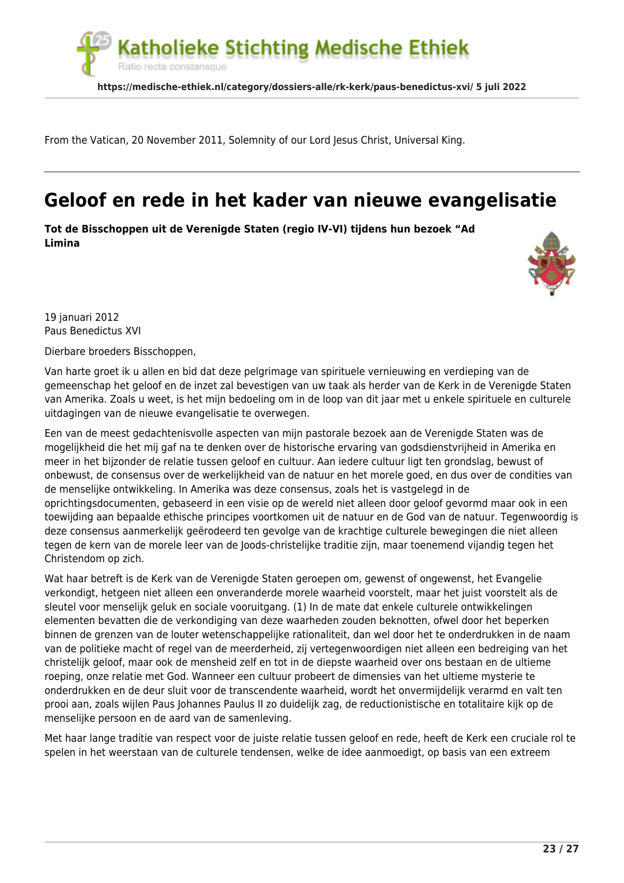

From the Vatican, 20 November 2011, Solemnity of our Lord Jesus Christ, Universal King.

## **[Geloof en rede in het kader van nieuwe evangelisatie](https://medische-ethiek.nl/geloof-en-rede-in-het-kader-van-nieuwe-evangelisatie/)**

**Tot de Bisschoppen uit de Verenigde Staten (regio IV-VI) tijdens hun bezoek "Ad Limina**



19 januari 2012 Paus Benedictus XVI

Dierbare broeders Bisschoppen,

Van harte groet ik u allen en bid dat deze pelgrimage van spirituele vernieuwing en verdieping van de gemeenschap het geloof en de inzet zal bevestigen van uw taak als herder van de Kerk in de Verenigde Staten van Amerika. Zoals u weet, is het mijn bedoeling om in de loop van dit jaar met u enkele spirituele en culturele uitdagingen van de nieuwe evangelisatie te overwegen.

Een van de meest gedachtenisvolle aspecten van mijn pastorale bezoek aan de Verenigde Staten was de mogelijkheid die het mij gaf na te denken over de historische ervaring van godsdienstvrijheid in Amerika en meer in het bijzonder de relatie tussen geloof en cultuur. Aan iedere cultuur ligt ten grondslag, bewust of onbewust, de consensus over de werkelijkheid van de natuur en het morele goed, en dus over de condities van de menselijke ontwikkeling. In Amerika was deze consensus, zoals het is vastgelegd in de oprichtingsdocumenten, gebaseerd in een visie op de wereld niet alleen door geloof gevormd maar ook in een toewijding aan bepaalde ethische principes voortkomen uit de natuur en de God van de natuur. Tegenwoordig is deze consensus aanmerkelijk geërodeerd ten gevolge van de krachtige culturele bewegingen die niet alleen tegen de kern van de morele leer van de Joods-christelijke traditie zijn, maar toenemend vijandig tegen het Christendom op zich.

Wat haar betreft is de Kerk van de Verenigde Staten geroepen om, gewenst of ongewenst, het Evangelie verkondigt, hetgeen niet alleen een onveranderde morele waarheid voorstelt, maar het juist voorstelt als de sleutel voor menselijk geluk en sociale vooruitgang. (1) In de mate dat enkele culturele ontwikkelingen elementen bevatten die de verkondiging van deze waarheden zouden beknotten, ofwel door het beperken binnen de grenzen van de louter wetenschappelijke rationaliteit, dan wel door het te onderdrukken in de naam van de politieke macht of regel van de meerderheid, zij vertegenwoordigen niet alleen een bedreiging van het christelijk geloof, maar ook de mensheid zelf en tot in de diepste waarheid over ons bestaan en de ultieme roeping, onze relatie met God. Wanneer een cultuur probeert de dimensies van het ultieme mysterie te onderdrukken en de deur sluit voor de transcendente waarheid, wordt het onvermijdelijk verarmd en valt ten prooi aan, zoals wijlen Paus Johannes Paulus II zo duidelijk zag, de reductionistische en totalitaire kijk op de menselijke persoon en de aard van de samenleving.

Met haar lange traditie van respect voor de juiste relatie tussen geloof en rede, heeft de Kerk een cruciale rol te spelen in het weerstaan van de culturele tendensen, welke de idee aanmoedigt, op basis van een extreem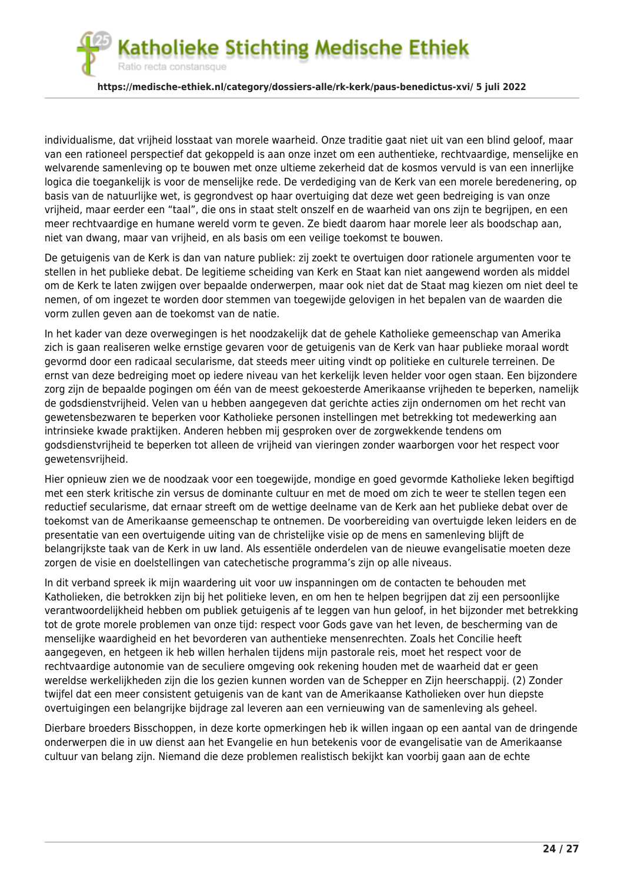

Ratio recta constansque

individualisme, dat vrijheid losstaat van morele waarheid. Onze traditie gaat niet uit van een blind geloof, maar van een rationeel perspectief dat gekoppeld is aan onze inzet om een authentieke, rechtvaardige, menselijke en welvarende samenleving op te bouwen met onze ultieme zekerheid dat de kosmos vervuld is van een innerlijke logica die toegankelijk is voor de menselijke rede. De verdediging van de Kerk van een morele beredenering, op basis van de natuurlijke wet, is gegrondvest op haar overtuiging dat deze wet geen bedreiging is van onze vrijheid, maar eerder een "taal", die ons in staat stelt onszelf en de waarheid van ons zijn te begrijpen, en een meer rechtvaardige en humane wereld vorm te geven. Ze biedt daarom haar morele leer als boodschap aan, niet van dwang, maar van vrijheid, en als basis om een veilige toekomst te bouwen.

De getuigenis van de Kerk is dan van nature publiek: zij zoekt te overtuigen door rationele argumenten voor te stellen in het publieke debat. De legitieme scheiding van Kerk en Staat kan niet aangewend worden als middel om de Kerk te laten zwijgen over bepaalde onderwerpen, maar ook niet dat de Staat mag kiezen om niet deel te nemen, of om ingezet te worden door stemmen van toegewijde gelovigen in het bepalen van de waarden die vorm zullen geven aan de toekomst van de natie.

In het kader van deze overwegingen is het noodzakelijk dat de gehele Katholieke gemeenschap van Amerika zich is gaan realiseren welke ernstige gevaren voor de getuigenis van de Kerk van haar publieke moraal wordt gevormd door een radicaal secularisme, dat steeds meer uiting vindt op politieke en culturele terreinen. De ernst van deze bedreiging moet op iedere niveau van het kerkelijk leven helder voor ogen staan. Een bijzondere zorg zijn de bepaalde pogingen om één van de meest gekoesterde Amerikaanse vrijheden te beperken, namelijk de godsdienstvrijheid. Velen van u hebben aangegeven dat gerichte acties zijn ondernomen om het recht van gewetensbezwaren te beperken voor Katholieke personen instellingen met betrekking tot medewerking aan intrinsieke kwade praktijken. Anderen hebben mij gesproken over de zorgwekkende tendens om godsdienstvrijheid te beperken tot alleen de vrijheid van vieringen zonder waarborgen voor het respect voor gewetensvrijheid.

Hier opnieuw zien we de noodzaak voor een toegewijde, mondige en goed gevormde Katholieke leken begiftigd met een sterk kritische zin versus de dominante cultuur en met de moed om zich te weer te stellen tegen een reductief secularisme, dat ernaar streeft om de wettige deelname van de Kerk aan het publieke debat over de toekomst van de Amerikaanse gemeenschap te ontnemen. De voorbereiding van overtuigde leken leiders en de presentatie van een overtuigende uiting van de christelijke visie op de mens en samenleving blijft de belangrijkste taak van de Kerk in uw land. Als essentiële onderdelen van de nieuwe evangelisatie moeten deze zorgen de visie en doelstellingen van catechetische programma's zijn op alle niveaus.

In dit verband spreek ik mijn waardering uit voor uw inspanningen om de contacten te behouden met Katholieken, die betrokken zijn bij het politieke leven, en om hen te helpen begrijpen dat zij een persoonlijke verantwoordelijkheid hebben om publiek getuigenis af te leggen van hun geloof, in het bijzonder met betrekking tot de grote morele problemen van onze tijd: respect voor Gods gave van het leven, de bescherming van de menselijke waardigheid en het bevorderen van authentieke mensenrechten. Zoals het Concilie heeft aangegeven, en hetgeen ik heb willen herhalen tijdens mijn pastorale reis, moet het respect voor de rechtvaardige autonomie van de seculiere omgeving ook rekening houden met de waarheid dat er geen wereldse werkelijkheden zijn die los gezien kunnen worden van de Schepper en Zijn heerschappij. (2) Zonder twijfel dat een meer consistent getuigenis van de kant van de Amerikaanse Katholieken over hun diepste overtuigingen een belangrijke bijdrage zal leveren aan een vernieuwing van de samenleving als geheel.

Dierbare broeders Bisschoppen, in deze korte opmerkingen heb ik willen ingaan op een aantal van de dringende onderwerpen die in uw dienst aan het Evangelie en hun betekenis voor de evangelisatie van de Amerikaanse cultuur van belang zijn. Niemand die deze problemen realistisch bekijkt kan voorbij gaan aan de echte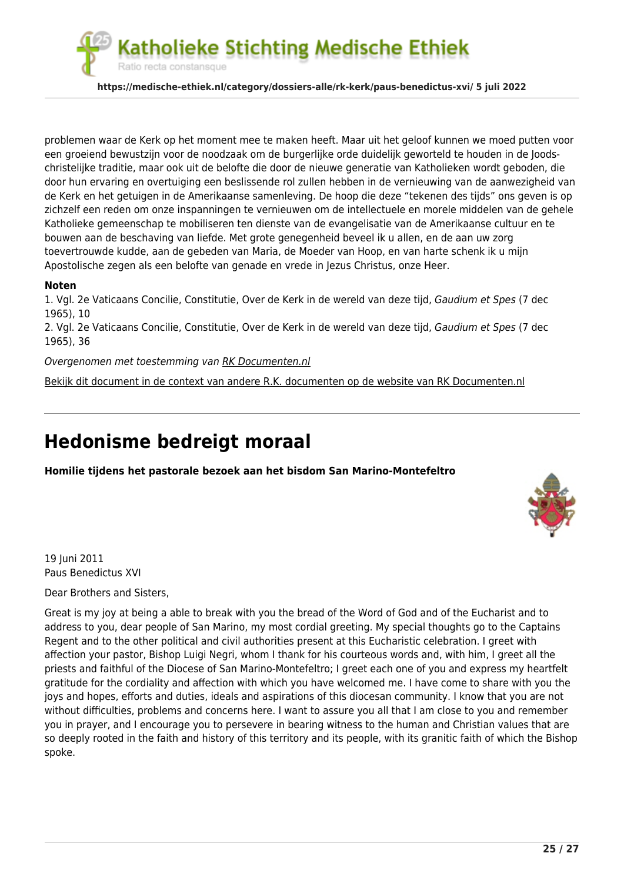**https://medische-ethiek.nl/category/dossiers-alle/rk-kerk/paus-benedictus-xvi/ 5 juli 2022**

problemen waar de Kerk op het moment mee te maken heeft. Maar uit het geloof kunnen we moed putten voor een groeiend bewustzijn voor de noodzaak om de burgerlijke orde duidelijk geworteld te houden in de Joodschristelijke traditie, maar ook uit de belofte die door de nieuwe generatie van Katholieken wordt geboden, die door hun ervaring en overtuiging een beslissende rol zullen hebben in de vernieuwing van de aanwezigheid van de Kerk en het getuigen in de Amerikaanse samenleving. De hoop die deze "tekenen des tijds" ons geven is op zichzelf een reden om onze inspanningen te vernieuwen om de intellectuele en morele middelen van de gehele Katholieke gemeenschap te mobiliseren ten dienste van de evangelisatie van de Amerikaanse cultuur en te bouwen aan de beschaving van liefde. Met grote genegenheid beveel ik u allen, en de aan uw zorg toevertrouwde kudde, aan de gebeden van Maria, de Moeder van Hoop, en van harte schenk ik u mijn Apostolische zegen als een belofte van genade en vrede in Jezus Christus, onze Heer.

#### **Noten**

1. Vgl. 2e Vaticaans Concilie, Constitutie, Over de Kerk in de wereld van deze tijd, Gaudium et Spes (7 dec 1965), 10

2. Vgl. 2e Vaticaans Concilie, Constitutie, Over de Kerk in de wereld van deze tijd, Gaudium et Spes (7 dec 1965), 36

#### Overgenomen met toestemming van [RK Documenten.nl](https://www.rkdocumenten.nl/rkdocs/)

Ratio recta constansque

[Bekijk dit document in de context van andere R.K. documenten op de website van RK Documenten.nl](http://www.rkdocumenten.nl/rkdocs/index.php?mi=600&doc=4469)

## **[Hedonisme bedreigt moraal](https://medische-ethiek.nl/hedonisme-bedreigt-moraal/)**

**Homilie tijdens het pastorale bezoek aan het bisdom San Marino-Montefeltro**



19 Juni 2011 Paus Benedictus XVI

Dear Brothers and Sisters,

Great is my joy at being a able to break with you the bread of the Word of God and of the Eucharist and to address to you, dear people of San Marino, my most cordial greeting. My special thoughts go to the Captains Regent and to the other political and civil authorities present at this Eucharistic celebration. I greet with affection your pastor, Bishop Luigi Negri, whom I thank for his courteous words and, with him, I greet all the priests and faithful of the Diocese of San Marino-Montefeltro; I greet each one of you and express my heartfelt gratitude for the cordiality and affection with which you have welcomed me. I have come to share with you the joys and hopes, efforts and duties, ideals and aspirations of this diocesan community. I know that you are not without difficulties, problems and concerns here. I want to assure you all that I am close to you and remember you in prayer, and I encourage you to persevere in bearing witness to the human and Christian values that are so deeply rooted in the faith and history of this territory and its people, with its granitic faith of which the Bishop spoke.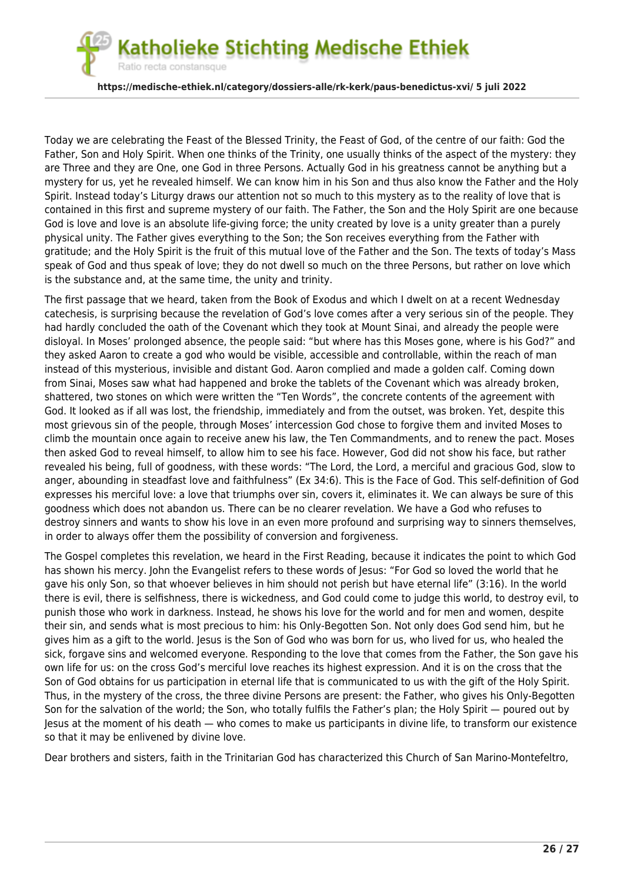#### **https://medische-ethiek.nl/category/dossiers-alle/rk-kerk/paus-benedictus-xvi/ 5 juli 2022**

Ratio recta constansque

Today we are celebrating the Feast of the Blessed Trinity, the Feast of God, of the centre of our faith: God the Father, Son and Holy Spirit. When one thinks of the Trinity, one usually thinks of the aspect of the mystery: they are Three and they are One, one God in three Persons. Actually God in his greatness cannot be anything but a mystery for us, yet he revealed himself. We can know him in his Son and thus also know the Father and the Holy Spirit. Instead today's Liturgy draws our attention not so much to this mystery as to the reality of love that is contained in this first and supreme mystery of our faith. The Father, the Son and the Holy Spirit are one because God is love and love is an absolute life-giving force; the unity created by love is a unity greater than a purely physical unity. The Father gives everything to the Son; the Son receives everything from the Father with gratitude; and the Holy Spirit is the fruit of this mutual love of the Father and the Son. The texts of today's Mass speak of God and thus speak of love; they do not dwell so much on the three Persons, but rather on love which is the substance and, at the same time, the unity and trinity.

The first passage that we heard, taken from the Book of Exodus and which I dwelt on at a recent Wednesday catechesis, is surprising because the revelation of God's love comes after a very serious sin of the people. They had hardly concluded the oath of the Covenant which they took at Mount Sinai, and already the people were disloyal. In Moses' prolonged absence, the people said: "but where has this Moses gone, where is his God?" and they asked Aaron to create a god who would be visible, accessible and controllable, within the reach of man instead of this mysterious, invisible and distant God. Aaron complied and made a golden calf. Coming down from Sinai, Moses saw what had happened and broke the tablets of the Covenant which was already broken, shattered, two stones on which were written the "Ten Words", the concrete contents of the agreement with God. It looked as if all was lost, the friendship, immediately and from the outset, was broken. Yet, despite this most grievous sin of the people, through Moses' intercession God chose to forgive them and invited Moses to climb the mountain once again to receive anew his law, the Ten Commandments, and to renew the pact. Moses then asked God to reveal himself, to allow him to see his face. However, God did not show his face, but rather revealed his being, full of goodness, with these words: "The Lord, the Lord, a merciful and gracious God, slow to anger, abounding in steadfast love and faithfulness" (Ex 34:6). This is the Face of God. This self-definition of God expresses his merciful love: a love that triumphs over sin, covers it, eliminates it. We can always be sure of this goodness which does not abandon us. There can be no clearer revelation. We have a God who refuses to destroy sinners and wants to show his love in an even more profound and surprising way to sinners themselves, in order to always offer them the possibility of conversion and forgiveness.

The Gospel completes this revelation, we heard in the First Reading, because it indicates the point to which God has shown his mercy. John the Evangelist refers to these words of Jesus: "For God so loved the world that he gave his only Son, so that whoever believes in him should not perish but have eternal life" (3:16). In the world there is evil, there is selfishness, there is wickedness, and God could come to judge this world, to destroy evil, to punish those who work in darkness. Instead, he shows his love for the world and for men and women, despite their sin, and sends what is most precious to him: his Only-Begotten Son. Not only does God send him, but he gives him as a gift to the world. Jesus is the Son of God who was born for us, who lived for us, who healed the sick, forgave sins and welcomed everyone. Responding to the love that comes from the Father, the Son gave his own life for us: on the cross God's merciful love reaches its highest expression. And it is on the cross that the Son of God obtains for us participation in eternal life that is communicated to us with the gift of the Holy Spirit. Thus, in the mystery of the cross, the three divine Persons are present: the Father, who gives his Only-Begotten Son for the salvation of the world; the Son, who totally fulfils the Father's plan; the Holy Spirit — poured out by Jesus at the moment of his death — who comes to make us participants in divine life, to transform our existence so that it may be enlivened by divine love.

Dear brothers and sisters, faith in the Trinitarian God has characterized this Church of San Marino-Montefeltro,